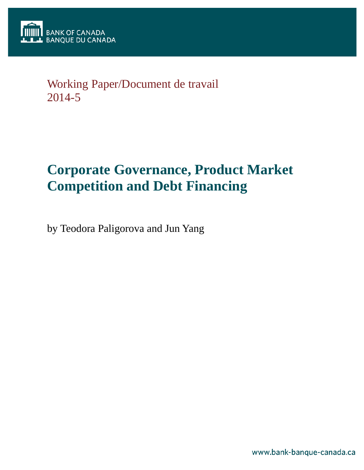

# Working Paper/Document de travail 2014-5

# **Corporate Governance, Product Market Competition and Debt Financing**

by Teodora Paligorova and Jun Yang

www.bank-banque-canada.ca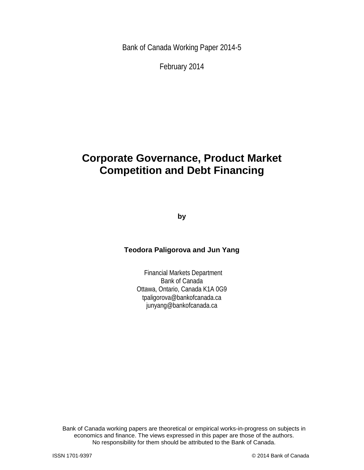Bank of Canada Working Paper 2014-5

February 2014

# **Corporate Governance, Product Market Competition and Debt Financing**

**by**

# **Teodora Paligorova and Jun Yang**

Financial Markets Department Bank of Canada Ottawa, Ontario, Canada K1A 0G9 tpaligorova@bankofcanada.ca junyang@bankofcanada.ca

2 No responsibility for them should be attributed to the Bank of Canada. Bank of Canada working papers are theoretical or empirical works-in-progress on subjects in economics and finance. The views expressed in this paper are those of the authors.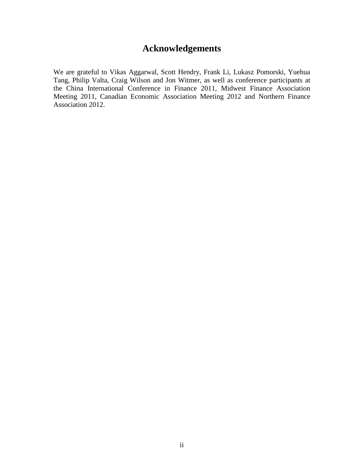# **Acknowledgements**

We are grateful to Vikas Aggarwal, Scott Hendry, Frank Li, Lukasz Pomorski, Yuehua Tang, Philip Valta, Craig Wilson and Jon Witmer, as well as conference participants at the China International Conference in Finance 2011, Midwest Finance Association Meeting 2011, Canadian Economic Association Meeting 2012 and Northern Finance Association 2012.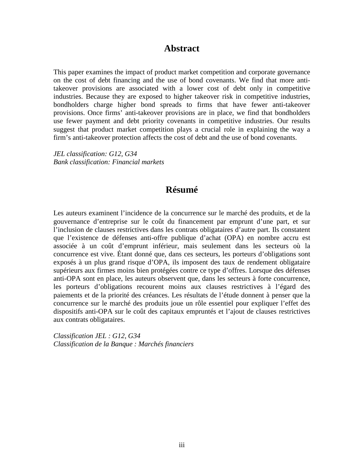# **Abstract**

This paper examines the impact of product market competition and corporate governance on the cost of debt financing and the use of bond covenants. We find that more antitakeover provisions are associated with a lower cost of debt only in competitive industries. Because they are exposed to higher takeover risk in competitive industries, bondholders charge higher bond spreads to firms that have fewer anti-takeover provisions. Once firms' anti-takeover provisions are in place, we find that bondholders use fewer payment and debt priority covenants in competitive industries. Our results suggest that product market competition plays a crucial role in explaining the way a firm's anti-takeover protection affects the cost of debt and the use of bond covenants.

*JEL classification: G12, G34 Bank classification: Financial markets*

# **Résumé**

Les auteurs examinent l'incidence de la concurrence sur le marché des produits, et de la gouvernance d'entreprise sur le coût du financement par emprunt d'une part, et sur l'inclusion de clauses restrictives dans les contrats obligataires d'autre part. Ils constatent que l'existence de défenses anti-offre publique d'achat (OPA) en nombre accru est associée à un coût d'emprunt inférieur, mais seulement dans les secteurs où la concurrence est vive. Étant donné que, dans ces secteurs, les porteurs d'obligations sont exposés à un plus grand risque d'OPA, ils imposent des taux de rendement obligataire supérieurs aux firmes moins bien protégées contre ce type d'offres. Lorsque des défenses anti-OPA sont en place, les auteurs observent que, dans les secteurs à forte concurrence, les porteurs d'obligations recourent moins aux clauses restrictives à l'égard des paiements et de la priorité des créances. Les résultats de l'étude donnent à penser que la concurrence sur le marché des produits joue un rôle essentiel pour expliquer l'effet des dispositifs anti-OPA sur le coût des capitaux empruntés et l'ajout de clauses restrictives aux contrats obligataires.

*Classification JEL : G12, G34 Classification de la Banque : Marchés financiers*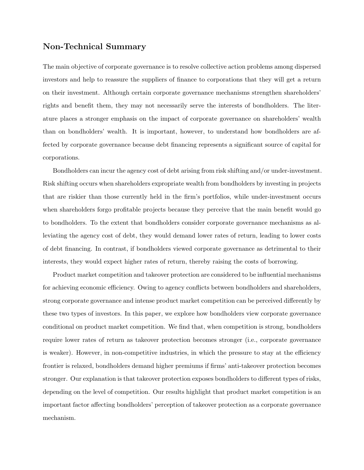## **Non-Technical Summary**

The main objective of corporate governance is to resolve collective action problems among dispersed investors and help to reassure the suppliers of finance to corporations that they will get a return on their investment. Although certain corporate governance mechanisms strengthen shareholders' rights and benefit them, they may not necessarily serve the interests of bondholders. The literature places a stronger emphasis on the impact of corporate governance on shareholders' wealth than on bondholders' wealth. It is important, however, to understand how bondholders are affected by corporate governance because debt financing represents a significant source of capital for corporations.

Bondholders can incur the agency cost of debt arising from risk shifting and/or under-investment. Risk shifting occurs when shareholders expropriate wealth from bondholders by investing in projects that are riskier than those currently held in the firm's portfolios, while under-investment occurs when shareholders forgo profitable projects because they perceive that the main benefit would go to bondholders. To the extent that bondholders consider corporate governance mechanisms as alleviating the agency cost of debt, they would demand lower rates of return, leading to lower costs of debt financing. In contrast, if bondholders viewed corporate governance as detrimental to their interests, they would expect higher rates of return, thereby raising the costs of borrowing.

Product market competition and takeover protection are considered to be influential mechanisms for achieving economic efficiency. Owing to agency conflicts between bondholders and shareholders, strong corporate governance and intense product market competition can be perceived differently by these two types of investors. In this paper, we explore how bondholders view corporate governance conditional on product market competition. We find that, when competition is strong, bondholders require lower rates of return as takeover protection becomes stronger (i.e., corporate governance is weaker). However, in non-competitive industries, in which the pressure to stay at the efficiency frontier is relaxed, bondholders demand higher premiums if firms' anti-takeover protection becomes stronger. Our explanation is that takeover protection exposes bondholders to different types of risks, depending on the level of competition. Our results highlight that product market competition is an important factor affecting bondholders' perception of takeover protection as a corporate governance mechanism.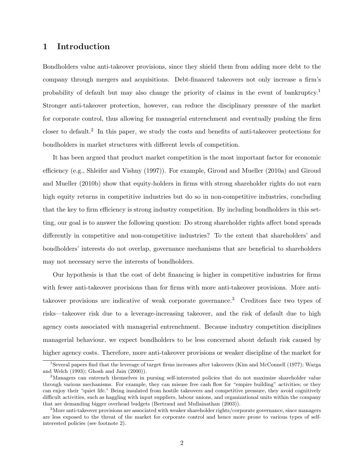## **1 Introduction**

Bondholders value anti-takeover provisions, since they shield them from adding more debt to the company through mergers and acquisitions. Debt-financed takeovers not only increase a firm's probability of default but may also change the priority of claims in the event of bankruptcy.<sup>1</sup> Stronger anti-takeover protection, however, can reduce the disciplinary pressure of the market for corporate control, thus allowing for managerial entrenchment and eventually pushing the firm closer to default.<sup>2</sup> In this paper, we study the costs and benefits of anti-takeover protections for bondholders in market structures with different levels of competition.

It has been argued that product market competition is the most important factor for economic efficiency (e.g., Shleifer and Vishny (1997)). For example, Giroud and Mueller (2010a) and Giroud and Mueller (2010b) show that equity-holders in firms with strong shareholder rights do not earn high equity returns in competitive industries but do so in non-competitive industries, concluding that the key to firm efficiency is strong industry competition. By including bondholders in this setting, our goal is to answer the following question: Do strong shareholder rights affect bond spreads differently in competitive and non-competitive industries? To the extent that shareholders' and bondholders' interests do not overlap, governance mechanisms that are beneficial to shareholders may not necessary serve the interests of bondholders.

Our hypothesis is that the cost of debt financing is higher in competitive industries for firms with fewer anti-takeover provisions than for firms with more anti-takeover provisions. More antitakeover provisions are indicative of weak corporate governance.<sup>3</sup> Creditors face two types of risks—takeover risk due to a leverage-increasing takeover, and the risk of default due to high agency costs associated with managerial entrenchment. Because industry competition disciplines managerial behaviour, we expect bondholders to be less concerned about default risk caused by higher agency costs. Therefore, more anti-takeover provisions or weaker discipline of the market for

<sup>1</sup>Several papers find that the leverage of target firms increases after takeovers (Kim and McConnell (1977); Warga and Welch (1993); Ghosh and Jain (2000)).

<sup>2</sup>Managers can entrench themselves in pursing self-interested policies that do not maximize shareholder value through various mechanisms. For example, they can misuse free cash flow for "empire building" activities; or they can enjoy their "quiet life." Being insulated from hostile takeovers and competitive pressure, they avoid cognitively difficult activities, such as haggling with input suppliers, labour unions, and organizational units within the company that are demanding bigger overhead budgets (Bertrand and Mullainathan (2003)).

<sup>3</sup>More anti-takeover provisions are associated with weaker shareholder rights/corporate governance, since managers are less exposed to the threat of the market for corporate control and hence more prone to various types of selfinterested policies (see footnote 2).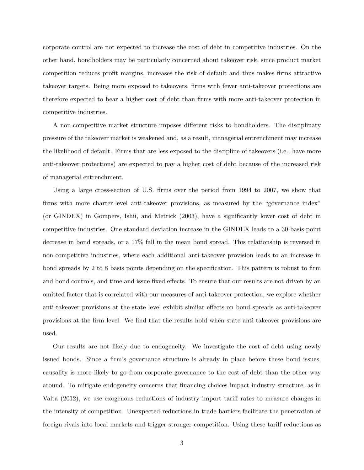corporate control are not expected to increase the cost of debt in competitive industries. On the other hand, bondholders may be particularly concerned about takeover risk, since product market competition reduces profit margins, increases the risk of default and thus makes firms attractive takeover targets. Being more exposed to takeovers, firms with fewer anti-takeover protections are therefore expected to bear a higher cost of debt than firms with more anti-takeover protection in competitive industries.

A non-competitive market structure imposes different risks to bondholders. The disciplinary pressure of the takeover market is weakened and, as a result, managerial entrenchment may increase the likelihood of default. Firms that are less exposed to the discipline of takeovers (i.e., have more anti-takeover protections) are expected to pay a higher cost of debt because of the increased risk of managerial entrenchment.

Using a large cross-section of U.S. firms over the period from 1994 to 2007, we show that firms with more charter-level anti-takeover provisions, as measured by the "governance index" (or GINDEX) in Gompers, Ishii, and Metrick (2003), have a significantly lower cost of debt in competitive industries. One standard deviation increase in the GINDEX leads to a 30-basis-point decrease in bond spreads, or a 17% fall in the mean bond spread. This relationship is reversed in non-competitive industries, where each additional anti-takeover provision leads to an increase in bond spreads by 2 to 8 basis points depending on the specification. This pattern is robust to firm and bond controls, and time and issue fixed effects. To ensure that our results are not driven by an omitted factor that is correlated with our measures of anti-takeover protection, we explore whether anti-takeover provisions at the state level exhibit similar effects on bond spreads as anti-takeover provisions at the firm level. We find that the results hold when state anti-takeover provisions are used.

Our results are not likely due to endogeneity. We investigate the cost of debt using newly issued bonds. Since a firm's governance structure is already in place before these bond issues, causality is more likely to go from corporate governance to the cost of debt than the other way around. To mitigate endogeneity concerns that financing choices impact industry structure, as in Valta (2012), we use exogenous reductions of industry import tariff rates to measure changes in the intensity of competition. Unexpected reductions in trade barriers facilitate the penetration of foreign rivals into local markets and trigger stronger competition. Using these tariff reductions as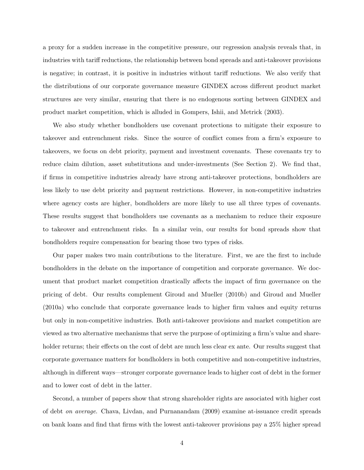a proxy for a sudden increase in the competitive pressure, our regression analysis reveals that, in industries with tariff reductions, the relationship between bond spreads and anti-takeover provisions is negative; in contrast, it is positive in industries without tariff reductions. We also verify that the distributions of our corporate governance measure GINDEX across different product market structures are very similar, ensuring that there is no endogenous sorting between GINDEX and product market competition, which is alluded in Gompers, Ishii, and Metrick (2003).

We also study whether bondholders use covenant protections to mitigate their exposure to takeover and entrenchment risks. Since the source of conflict comes from a firm's exposure to takeovers, we focus on debt priority, payment and investment covenants. These covenants try to reduce claim dilution, asset substitutions and under-investments (See Section 2). We find that, if firms in competitive industries already have strong anti-takeover protections, bondholders are less likely to use debt priority and payment restrictions. However, in non-competitive industries where agency costs are higher, bondholders are more likely to use all three types of covenants. These results suggest that bondholders use covenants as a mechanism to reduce their exposure to takeover and entrenchment risks. In a similar vein, our results for bond spreads show that bondholders require compensation for bearing those two types of risks.

Our paper makes two main contributions to the literature. First, we are the first to include bondholders in the debate on the importance of competition and corporate governance. We document that product market competition drastically affects the impact of firm governance on the pricing of debt. Our results complement Giroud and Mueller (2010b) and Giroud and Mueller (2010a) who conclude that corporate governance leads to higher firm values and equity returns but only in non-competitive industries. Both anti-takeover provisions and market competition are viewed as two alternative mechanisms that serve the purpose of optimizing a firm's value and shareholder returns; their effects on the cost of debt are much less clear ex ante. Our results suggest that corporate governance matters for bondholders in both competitive and non-competitive industries, although in different ways—stronger corporate governance leads to higher cost of debt in the former and to lower cost of debt in the latter.

Second, a number of papers show that strong shareholder rights are associated with higher cost of debt *on average*. Chava, Livdan, and Purnanandam (2009) examine at-issuance credit spreads on bank loans and find that firms with the lowest anti-takeover provisions pay a 25% higher spread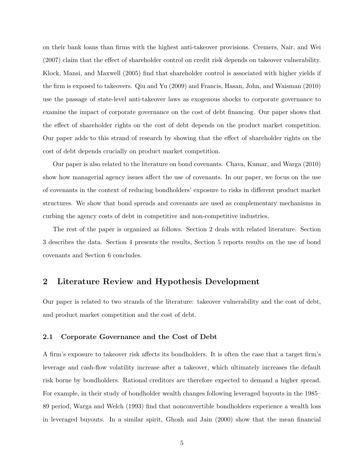on their bank loans than firms with the highest anti-takeover provisions. Cremers, Nair, and Wei (2007) claim that the effect of shareholder control on credit risk depends on takeover vulnerability. Klock, Mansi, and Maxwell (2005) find that shareholder control is associated with higher yields if the firm is exposed to takeovers. Qiu and Yu (2009) and Francis, Hasan, John, and Waisman (2010) use the passage of state-level anti-takeover laws as exogenous shocks to corporate governance to examine the impact of corporate governance on the cost of debt financing. Our paper shows that the effect of shareholder rights on the cost of debt depends on the product market competition. Our paper adds to this strand of research by showing that the effect of shareholder rights on the cost of debt depends crucially on product market competition.

Our paper is also related to the literature on bond covenants. Chava, Kumar, and Warga (2010) show how managerial agency issues affect the use of covenants. In our paper, we focus on the use of covenants in the context of reducing bondholders' exposure to risks in different product market structures. We show that bond spreads and covenants are used as complementary mechanisms in curbing the agency costs of debt in competitive and non-competitive industries.

The rest of the paper is organized as follows. Section 2 deals with related literature. Section 3 describes the data. Section 4 presents the results, Section 5 reports results on the use of bond covenants and Section 6 concludes.

# **2 Literature Review and Hypothesis Development**

Our paper is related to two strands of the literature: takeover vulnerability and the cost of debt, and product market competition and the cost of debt.

#### **2.1 Corporate Governance and the Cost of Debt**

A firm's exposure to takeover risk affects its bondholders. It is often the case that a target firm's leverage and cash-flow volatility increase after a takeover, which ultimately increases the default risk borne by bondholders. Rational creditors are therefore expected to demand a higher spread. For example, in their study of bondholder wealth changes following leveraged buyouts in the 1985– 89 period, Warga and Welch (1993) find that nonconvertible bondholders experience a wealth loss in leveraged buyouts. In a similar spirit, Ghosh and Jain (2000) show that the mean financial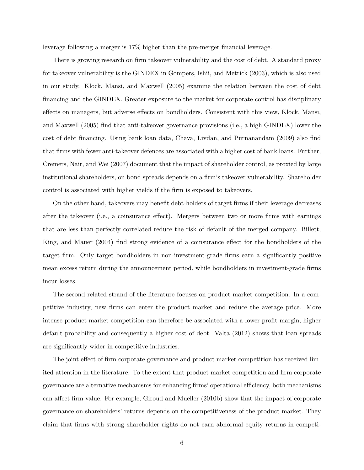leverage following a merger is 17% higher than the pre-merger financial leverage.

There is growing research on firm takeover vulnerability and the cost of debt. A standard proxy for takeover vulnerability is the GINDEX in Gompers, Ishii, and Metrick (2003), which is also used in our study. Klock, Mansi, and Maxwell (2005) examine the relation between the cost of debt financing and the GINDEX. Greater exposure to the market for corporate control has disciplinary effects on managers, but adverse effects on bondholders. Consistent with this view, Klock, Mansi, and Maxwell (2005) find that anti-takeover governance provisions (i.e., a high GINDEX) lower the cost of debt financing. Using bank loan data, Chava, Livdan, and Purnanandam (2009) also find that firms with fewer anti-takeover defences are associated with a higher cost of bank loans. Further, Cremers, Nair, and Wei (2007) document that the impact of shareholder control, as proxied by large institutional shareholders, on bond spreads depends on a firm's takeover vulnerability. Shareholder control is associated with higher yields if the firm is exposed to takeovers.

On the other hand, takeovers may benefit debt-holders of target firms if their leverage decreases after the takeover (i.e., a coinsurance effect). Mergers between two or more firms with earnings that are less than perfectly correlated reduce the risk of default of the merged company. Billett, King, and Mauer (2004) find strong evidence of a coinsurance effect for the bondholders of the target firm. Only target bondholders in non-investment-grade firms earn a significantly positive mean excess return during the announcement period, while bondholders in investment-grade firms incur losses.

The second related strand of the literature focuses on product market competition. In a competitive industry, new firms can enter the product market and reduce the average price. More intense product market competition can therefore be associated with a lower profit margin, higher default probability and consequently a higher cost of debt. Valta (2012) shows that loan spreads are significantly wider in competitive industries.

The joint effect of firm corporate governance and product market competition has received limited attention in the literature. To the extent that product market competition and firm corporate governance are alternative mechanisms for enhancing firms' operational efficiency, both mechanisms can affect firm value. For example, Giroud and Mueller (2010b) show that the impact of corporate governance on shareholders' returns depends on the competitiveness of the product market. They claim that firms with strong shareholder rights do not earn abnormal equity returns in competi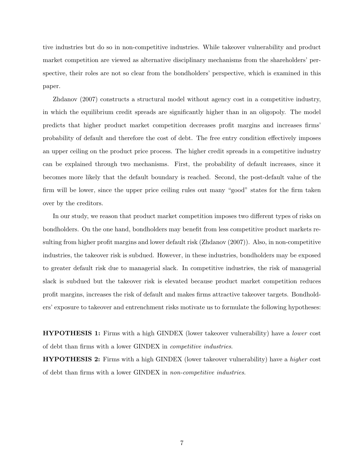tive industries but do so in non-competitive industries. While takeover vulnerability and product market competition are viewed as alternative disciplinary mechanisms from the shareholders' perspective, their roles are not so clear from the bondholders' perspective, which is examined in this paper.

Zhdanov (2007) constructs a structural model without agency cost in a competitive industry, in which the equilibrium credit spreads are significantly higher than in an oligopoly. The model predicts that higher product market competition decreases profit margins and increases firms' probability of default and therefore the cost of debt. The free entry condition effectively imposes an upper ceiling on the product price process. The higher credit spreads in a competitive industry can be explained through two mechanisms. First, the probability of default increases, since it becomes more likely that the default boundary is reached. Second, the post-default value of the firm will be lower, since the upper price ceiling rules out many "good" states for the firm taken over by the creditors.

In our study, we reason that product market competition imposes two different types of risks on bondholders. On the one hand, bondholders may benefit from less competitive product markets resulting from higher profit margins and lower default risk (Zhdanov (2007)). Also, in non-competitive industries, the takeover risk is subdued. However, in these industries, bondholders may be exposed to greater default risk due to managerial slack. In competitive industries, the risk of managerial slack is subdued but the takeover risk is elevated because product market competition reduces profit margins, increases the risk of default and makes firms attractive takeover targets. Bondholders' exposure to takeover and entrenchment risks motivate us to formulate the following hypotheses:

**HYPOTHESIS 1:** Firms with a high GINDEX (lower takeover vulnerability) have a *lower* cost of debt than firms with a lower GINDEX in *competitive industries*.

**HYPOTHESIS 2:** Firms with a high GINDEX (lower takeover vulnerability) have a *higher* cost of debt than firms with a lower GINDEX in *non-competitive industries*.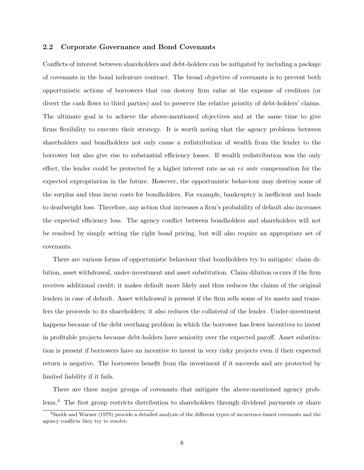#### **2.2 Corporate Governance and Bond Covenants**

Conflicts of interest between shareholders and debt-holders can be mitigated by including a package of covenants in the bond indenture contract. The broad objective of covenants is to prevent both opportunistic actions of borrowers that can destroy firm value at the expense of creditors (or divert the cash flows to third parties) and to preserve the relative priority of debt-holders' claims. The ultimate goal is to achieve the above-mentioned objectives and at the same time to give firms flexibility to execute their strategy. It is worth noting that the agency problems between shareholders and bondholders not only cause a redistribution of wealth from the lender to the borrower but also give rise to substantial efficiency losses. If wealth redistribution was the only effect, the lender could be protected by a higher interest rate as an *ex ante* compensation for the expected expropriation in the future. However, the opportunistic behaviour may destroy some of the surplus and thus incur costs for bondholders. For example, bankruptcy is inefficient and leads to deadweight loss. Therefore, any action that increases a firm's probability of default also increases the expected efficiency loss. The agency conflict between bondholders and shareholders will not be resolved by simply setting the right bond pricing, but will also require an appropriate set of covenants.

There are various forms of opportunistic behaviour that bondholders try to mitigate: claim dilution, asset withdrawal, under-investment and asset substitution. Claim dilution occurs if the firm receives additional credit; it makes default more likely and thus reduces the claims of the original lenders in case of default. Asset withdrawal is present if the firm sells some of its assets and transfers the proceeds to its shareholders; it also reduces the collateral of the lender. Under-investment happens because of the debt overhang problem in which the borrower has fewer incentives to invest in profitable projects because debt-holders have seniority over the expected payoff. Asset substitution is present if borrowers have an incentive to invest in very risky projects even if their expected return is negative. The borrowers benefit from the investment if it succeeds and are protected by limited liability if it fails.

There are three major groups of covenants that mitigate the above-mentioned agency problems.<sup>4</sup> The first group restricts distribution to shareholders through dividend payments or share

<sup>4</sup>Smith and Warner (1979) provide a detailed analysis of the different types of incurrence-based covenants and the agency conflicts they try to resolve.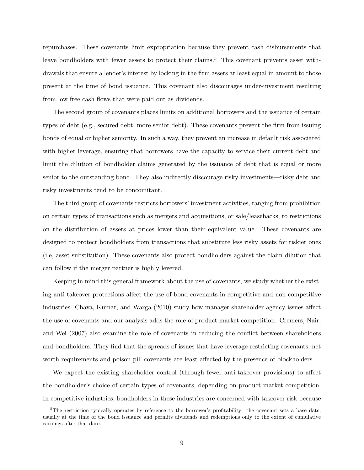repurchases. These covenants limit expropriation because they prevent cash disbursements that leave bondholders with fewer assets to protect their claims.<sup>5</sup> This covenant prevents asset withdrawals that ensure a lender's interest by locking in the firm assets at least equal in amount to those present at the time of bond issuance. This covenant also discourages under-investment resulting from low free cash flows that were paid out as dividends.

The second group of covenants places limits on additional borrowers and the issuance of certain types of debt (e.g., secured debt, more senior debt). These covenants prevent the firm from issuing bonds of equal or higher seniority. In such a way, they prevent an increase in default risk associated with higher leverage, ensuring that borrowers have the capacity to service their current debt and limit the dilution of bondholder claims generated by the issuance of debt that is equal or more senior to the outstanding bond. They also indirectly discourage risky investments—risky debt and risky investments tend to be concomitant.

The third group of covenants restricts borrowers' investment activities, ranging from prohibition on certain types of transactions such as mergers and acquisitions, or sale/leasebacks, to restrictions on the distribution of assets at prices lower than their equivalent value. These covenants are designed to protect bondholders from transactions that substitute less risky assets for riskier ones (i.e, asset substitution). These covenants also protect bondholders against the claim dilution that can follow if the merger partner is highly levered.

Keeping in mind this general framework about the use of covenants, we study whether the existing anti-takeover protections affect the use of bond covenants in competitive and non-competitive industries. Chava, Kumar, and Warga (2010) study how manager-shareholder agency issues affect the use of covenants and our analysis adds the role of product market competition. Cremers, Nair, and Wei (2007) also examine the role of covenants in reducing the conflict between shareholders and bondholders. They find that the spreads of issues that have leverage-restricting covenants, net worth requirements and poison pill covenants are least affected by the presence of blockholders.

We expect the existing shareholder control (through fewer anti-takeover provisions) to affect the bondholder's choice of certain types of covenants, depending on product market competition. In competitive industries, bondholders in these industries are concerned with takeover risk because

<sup>&</sup>lt;sup>5</sup>The restriction typically operates by reference to the borrower's profitability: the covenant sets a base date, usually at the time of the bond issuance and permits dividends and redemptions only to the extent of cumulative earnings after that date.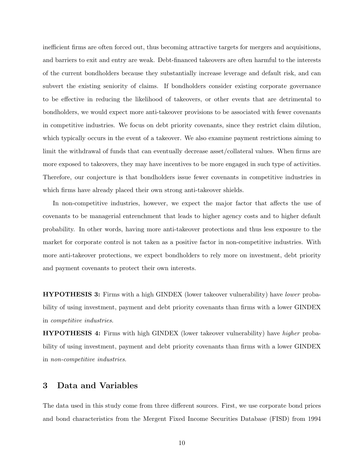inefficient firms are often forced out, thus becoming attractive targets for mergers and acquisitions, and barriers to exit and entry are weak. Debt-financed takeovers are often harmful to the interests of the current bondholders because they substantially increase leverage and default risk, and can subvert the existing seniority of claims. If bondholders consider existing corporate governance to be effective in reducing the likelihood of takeovers, or other events that are detrimental to bondholders, we would expect more anti-takeover provisions to be associated with fewer covenants in competitive industries. We focus on debt priority covenants, since they restrict claim dilution, which typically occurs in the event of a takeover. We also examine payment restrictions aiming to limit the withdrawal of funds that can eventually decrease asset/collateral values. When firms are more exposed to takeovers, they may have incentives to be more engaged in such type of activities. Therefore, our conjecture is that bondholders issue fewer covenants in competitive industries in which firms have already placed their own strong anti-takeover shields.

In non-competitive industries, however, we expect the major factor that affects the use of covenants to be managerial entrenchment that leads to higher agency costs and to higher default probability. In other words, having more anti-takeover protections and thus less exposure to the market for corporate control is not taken as a positive factor in non-competitive industries. With more anti-takeover protections, we expect bondholders to rely more on investment, debt priority and payment covenants to protect their own interests.

**HYPOTHESIS 3:** Firms with a high GINDEX (lower takeover vulnerability) have *lower* probability of using investment, payment and debt priority covenants than firms with a lower GINDEX in *competitive industries*.

**HYPOTHESIS 4:** Firms with high GINDEX (lower takeover vulnerability) have *higher* probability of using investment, payment and debt priority covenants than firms with a lower GINDEX in *non-competitive industries*.

## **3 Data and Variables**

The data used in this study come from three different sources. First, we use corporate bond prices and bond characteristics from the Mergent Fixed Income Securities Database (FISD) from 1994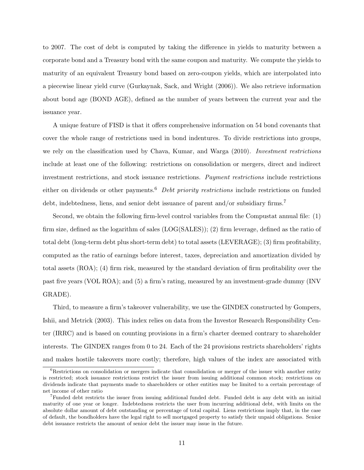to 2007. The cost of debt is computed by taking the difference in yields to maturity between a corporate bond and a Treasury bond with the same coupon and maturity. We compute the yields to maturity of an equivalent Treasury bond based on zero-coupon yields, which are interpolated into a piecewise linear yield curve (Gurkaynak, Sack, and Wright (2006)). We also retrieve information about bond age (BOND AGE), defined as the number of years between the current year and the issuance year.

A unique feature of FISD is that it offers comprehensive information on 54 bond covenants that cover the whole range of restrictions used in bond indentures. To divide restrictions into groups, we rely on the classification used by Chava, Kumar, and Warga (2010). *Investment restrictions* include at least one of the following: restrictions on consolidation or mergers, direct and indirect investment restrictions, and stock issuance restrictions. *Payment restrictions* include restrictions either on dividends or other payments.<sup>6</sup> *Debt priority restrictions* include restrictions on funded debt, indebtedness, liens, and senior debt issuance of parent and/or subsidiary firms.<sup>7</sup>

Second, we obtain the following firm-level control variables from the Compustat annual file: (1) firm size, defined as the logarithm of sales (LOG(SALES)); (2) firm leverage, defined as the ratio of total debt (long-term debt plus short-term debt) to total assets (LEVERAGE); (3) firm profitability, computed as the ratio of earnings before interest, taxes, depreciation and amortization divided by total assets (ROA); (4) firm risk, measured by the standard deviation of firm profitability over the past five years (VOL ROA); and (5) a firm's rating, measured by an investment-grade dummy (INV GRADE).

Third, to measure a firm's takeover vulnerability, we use the GINDEX constructed by Gompers, Ishii, and Metrick (2003). This index relies on data from the Investor Research Responsibility Center (IRRC) and is based on counting provisions in a firm's charter deemed contrary to shareholder interests. The GINDEX ranges from 0 to 24. Each of the 24 provisions restricts shareholders' rights and makes hostile takeovers more costly; therefore, high values of the index are associated with

 ${}^{6}$ Restrictions on consolidation or mergers indicate that consolidation or merger of the issuer with another entity is restricted; stock issuance restrictions restrict the issuer from issuing additional common stock; restrictions on dividends indicate that payments made to shareholders or other entities may be limited to a certain percentage of net income of other ratio

<sup>7</sup>Funded debt restricts the issuer from issuing additional funded debt. Funded debt is any debt with an initial maturity of one year or longer. Indebtedness restricts the user from incurring additional debt, with limits on the absolute dollar amount of debt outstanding or percentage of total capital. Liens restrictions imply that, in the case of default, the bondholders have the legal right to sell mortgaged property to satisfy their unpaid obligations. Senior debt issuance restricts the amount of senior debt the issuer may issue in the future.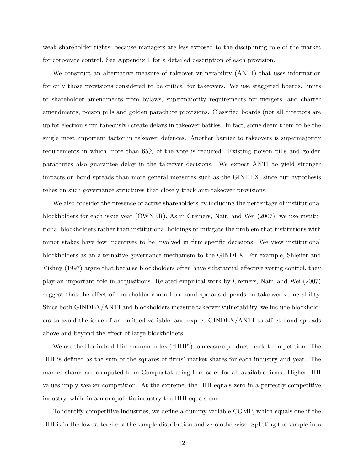weak shareholder rights, because managers are less exposed to the disciplining role of the market for corporate control. See Appendix 1 for a detailed description of each provision.

We construct an alternative measure of takeover vulnerability (ANTI) that uses information for only those provisions considered to be critical for takeovers. We use staggered boards, limits to shareholder amendments from bylaws, supermajority requirements for mergers, and charter amendments, poison pills and golden parachute provisions. Classified boards (not all directors are up for election simultaneously) create delays in takeover battles. In fact, some deem them to be the single most important factor in takeover defences. Another barrier to takeovers is supermajority requirements in which more than 65% of the vote is required. Existing poison pills and golden parachutes also guarantee delay in the takeover decisions. We expect ANTI to yield stronger impacts on bond spreads than more general measures such as the GINDEX, since our hypothesis relies on such governance structures that closely track anti-takeover provisions.

We also consider the presence of active shareholders by including the percentage of institutional blockholders for each issue year (OWNER). As in Cremers, Nair, and Wei (2007), we use institutional blockholders rather than institutional holdings to mitigate the problem that institutions with minor stakes have few incentives to be involved in firm-specific decisions. We view institutional blockholders as an alternative governance mechanism to the GINDEX. For example, Shleifer and Vishny (1997) argue that because blockholders often have substantial effective voting control, they play an important role in acquisitions. Related empirical work by Cremers, Nair, and Wei (2007) suggest that the effect of shareholder control on bond spreads depends on takeover vulnerability. Since both GINDEX/ANTI and blockholders measure takeover vulnerability, we include blockholders to avoid the issue of an omitted variable, and expect GINDEX/ANTI to affect bond spreads above and beyond the effect of large blockholders.

We use the Herfindahl-Hirschamnn index ("HHI") to measure product market competition. The HHI is defined as the sum of the squares of firms' market shares for each industry and year. The market shares are computed from Compustat using firm sales for all available firms. Higher HHI values imply weaker competition. At the extreme, the HHI equals zero in a perfectly competitive industry, while in a monopolistic industry the HHI equals one.

To identify competitive industries, we define a dummy variable COMP, which equals one if the HHI is in the lowest tercile of the sample distribution and zero otherwise. Splitting the sample into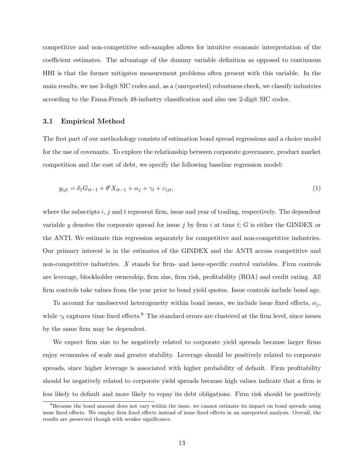competitive and non-competitive sub-samples allows for intuitive economic interpretation of the coefficient estimates. The advantage of the dummy variable definition as opposed to continuous HHI is that the former mitigates measurement problems often present with this variable. In the main results, we use 3-digit SIC codes and, as a (unreported) robustness check, we classify industries according to the Fama-French 48-industry classification and also use 2-digit SIC codes.

#### **3.1 Empirical Method**

The first part of our methodology consists of estimation bond spread regressions and a choice model for the use of covenants. To explore the relationship between corporate governance, product market competition and the cost of debt, we specify the following baseline regression model:

$$
y_{ijt} = \delta_1 G_{it-1} + \theta' X_{it-1} + \alpha_j + \gamma_t + \varepsilon_{ijt},\tag{1}
$$

where the subscripts *i*, *j* and *t* represent firm, issue and year of trading, respectively. The dependent variable *y* denotes the corporate spread for issue *j* by firm *i* at time  $t$ ;  $G$  is either the GINDEX or the ANTI. We estimate this regression separately for competitive and non-competitive industries. Our primary interest is in the estimates of the GINDEX and the ANTI across competitive and non-competitive industries. *X* stands for firm- and issue-specific control variables. Firm controls are leverage, blockholder ownership, firm size, firm risk, profitability (ROA) and credit rating. All firm controls take values from the year prior to bond yield quotes. Issue controls include bond age.

To account for unobserved heterogeneity within bond issues, we include issue fixed effects,  $\alpha_j$ , while  $\gamma_t$  captures time fixed effects.<sup>8</sup> The standard errors are clustered at the firm level, since issues by the same firm may be dependent.

We expect firm size to be negatively related to corporate yield spreads because larger firms enjoy economies of scale and greater stability. Leverage should be positively related to corporate spreads, since higher leverage is associated with higher probability of default. Firm profitability should be negatively related to corporate yield spreads because high values indicate that a firm is less likely to default and more likely to repay its debt obligations. Firm risk should be positively

<sup>&</sup>lt;sup>8</sup>Because the bond amount does not vary within the issue, we cannot estimate its impact on bond spreads using issue fixed effects. We employ firm fixed effects instead of issue fixed effects in an unreported analysis. Overall, the results are preserved though with weaker significance.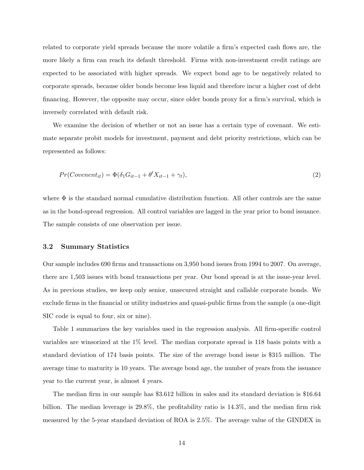related to corporate yield spreads because the more volatile a firm's expected cash flows are, the more likely a firm can reach its default threshold. Firms with non-investment credit ratings are expected to be associated with higher spreads. We expect bond age to be negatively related to corporate spreads, because older bonds become less liquid and therefore incur a higher cost of debt financing. However, the opposite may occur, since older bonds proxy for a firm's survival, which is inversely correlated with default risk.

We examine the decision of whether or not an issue has a certain type of covenant. We estimate separate probit models for investment, payment and debt priority restrictions, which can be represented as follows:

$$
Pr(Covenent_{it}) = \Phi(\delta_1 G_{it-1} + \theta' X_{it-1} + \gamma_t),
$$
\n<sup>(2)</sup>

where  $\Phi$  is the standard normal cumulative distribution function. All other controls are the same as in the bond-spread regression. All control variables are lagged in the year prior to bond issuance. The sample consists of one observation per issue.

#### **3.2 Summary Statistics**

Our sample includes 690 firms and transactions on 3,950 bond issues from 1994 to 2007. On average, there are 1,503 issues with bond transactions per year. Our bond spread is at the issue-year level. As in previous studies, we keep only senior, unsecured straight and callable corporate bonds. We exclude firms in the financial or utility industries and quasi-public firms from the sample (a one-digit SIC code is equal to four, six or nine).

Table 1 summarizes the key variables used in the regression analysis. All firm-specific control variables are winsorized at the 1% level. The median corporate spread is 118 basis points with a standard deviation of 174 basis points. The size of the average bond issue is \$315 million. The average time to maturity is 10 years. The average bond age, the number of years from the issuance year to the current year, is almost 4 years.

The median firm in our sample has \$3.612 billion in sales and its standard deviation is \$16.64 billion. The median leverage is 29.8%, the profitability ratio is 14.3%, and the median firm risk measured by the 5-year standard deviation of ROA is 2.5%. The average value of the GINDEX in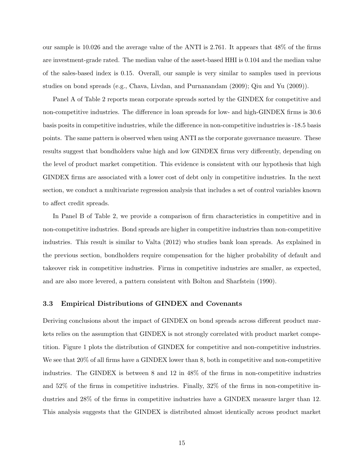our sample is 10.026 and the average value of the ANTI is 2.761. It appears that 48% of the firms are investment-grade rated. The median value of the asset-based HHI is 0.104 and the median value of the sales-based index is 0.15. Overall, our sample is very similar to samples used in previous studies on bond spreads (e.g., Chava, Livdan, and Purnanandam (2009); Qiu and Yu (2009)).

Panel A of Table 2 reports mean corporate spreads sorted by the GINDEX for competitive and non-competitive industries. The difference in loan spreads for low- and high-GINDEX firms is 30.6 basis posits in competitive industries, while the difference in non-competitive industries is -18.5 basis points. The same pattern is observed when using ANTI as the corporate governance measure. These results suggest that bondholders value high and low GINDEX firms very differently, depending on the level of product market competition. This evidence is consistent with our hypothesis that high GINDEX firms are associated with a lower cost of debt only in competitive industries. In the next section, we conduct a multivariate regression analysis that includes a set of control variables known to affect credit spreads.

In Panel B of Table 2, we provide a comparison of firm characteristics in competitive and in non-competitive industries. Bond spreads are higher in competitive industries than non-competitive industries. This result is similar to Valta (2012) who studies bank loan spreads. As explained in the previous section, bondholders require compensation for the higher probability of default and takeover risk in competitive industries. Firms in competitive industries are smaller, as expected, and are also more levered, a pattern consistent with Bolton and Sharfstein (1990).

#### **3.3 Empirical Distributions of GINDEX and Covenants**

Deriving conclusions about the impact of GINDEX on bond spreads across different product markets relies on the assumption that GINDEX is not strongly correlated with product market competition. Figure 1 plots the distribution of GINDEX for competitive and non-competitive industries. We see that 20% of all firms have a GINDEX lower than 8, both in competitive and non-competitive industries. The GINDEX is between 8 and 12 in 48% of the firms in non-competitive industries and 52% of the firms in competitive industries. Finally, 32% of the firms in non-competitive industries and 28% of the firms in competitive industries have a GINDEX measure larger than 12. This analysis suggests that the GINDEX is distributed almost identically across product market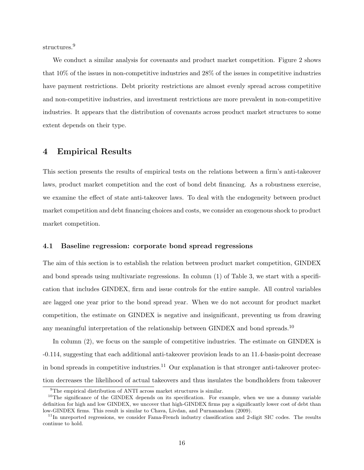structures.<sup>9</sup>

We conduct a similar analysis for covenants and product market competition. Figure 2 shows that 10% of the issues in non-competitive industries and 28% of the issues in competitive industries have payment restrictions. Debt priority restrictions are almost evenly spread across competitive and non-competitive industries, and investment restrictions are more prevalent in non-competitive industries. It appears that the distribution of covenants across product market structures to some extent depends on their type.

### **4 Empirical Results**

This section presents the results of empirical tests on the relations between a firm's anti-takeover laws, product market competition and the cost of bond debt financing. As a robustness exercise, we examine the effect of state anti-takeover laws. To deal with the endogeneity between product market competition and debt financing choices and costs, we consider an exogenous shock to product market competition.

#### **4.1 Baseline regression: corporate bond spread regressions**

The aim of this section is to establish the relation between product market competition, GINDEX and bond spreads using multivariate regressions. In column (1) of Table 3, we start with a specification that includes GINDEX, firm and issue controls for the entire sample. All control variables are lagged one year prior to the bond spread year. When we do not account for product market competition, the estimate on GINDEX is negative and insignificant, preventing us from drawing any meaningful interpretation of the relationship between GINDEX and bond spreads.<sup>10</sup>

In column (2), we focus on the sample of competitive industries. The estimate on GINDEX is -0.114, suggesting that each additional anti-takeover provision leads to an 11.4-basis-point decrease in bond spreads in competitive industries.<sup>11</sup> Our explanation is that stronger anti-takeover protection decreases the likelihood of actual takeovers and thus insulates the bondholders from takeover

 $9^9$ The empirical distribution of ANTI across market structures is similar.

<sup>&</sup>lt;sup>10</sup>The significance of the GINDEX depends on its specification. For example, when we use a dummy variable definition for high and low GINDEX, we uncover that high-GINDEX firms pay a significantly lower cost of debt than low-GINDEX firms. This result is similar to Chava, Livdan, and Purnanandam (2009).

 $11$ In unreported regressions, we consider Fama-French industry classification and 2-digit SIC codes. The results continue to hold.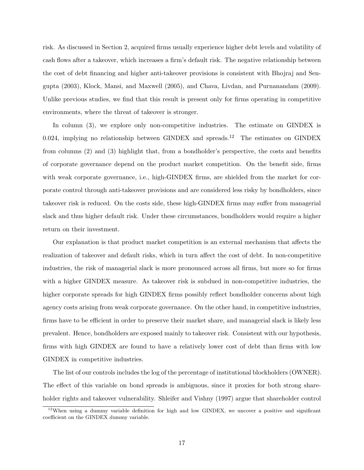risk. As discussed in Section 2, acquired firms usually experience higher debt levels and volatility of cash flows after a takeover, which increases a firm's default risk. The negative relationship between the cost of debt financing and higher anti-takeover provisions is consistent with Bhojraj and Sengupta (2003), Klock, Mansi, and Maxwell (2005), and Chava, Livdan, and Purnanandam (2009). Unlike previous studies, we find that this result is present only for firms operating in competitive environments, where the threat of takeover is stronger.

In column (3), we explore only non-competitive industries. The estimate on GINDEX is 0.024, implying no relationship between GINDEX and spreads.<sup>12</sup> The estimates on GINDEX from columns (2) and (3) highlight that, from a bondholder's perspective, the costs and benefits of corporate governance depend on the product market competition. On the benefit side, firms with weak corporate governance, i.e., high-GINDEX firms, are shielded from the market for corporate control through anti-takeover provisions and are considered less risky by bondholders, since takeover risk is reduced. On the costs side, these high-GINDEX firms may suffer from managerial slack and thus higher default risk. Under these circumstances, bondholders would require a higher return on their investment.

Our explanation is that product market competition is an external mechanism that affects the realization of takeover and default risks, which in turn affect the cost of debt. In non-competitive industries, the risk of managerial slack is more pronounced across all firms, but more so for firms with a higher GINDEX measure. As takeover risk is subdued in non-competitive industries, the higher corporate spreads for high GINDEX firms possibly reflect bondholder concerns about high agency costs arising from weak corporate governance. On the other hand, in competitive industries, firms have to be efficient in order to preserve their market share, and managerial slack is likely less prevalent. Hence, bondholders are exposed mainly to takeover risk. Consistent with our hypothesis, firms with high GINDEX are found to have a relatively lower cost of debt than firms with low GINDEX in competitive industries.

The list of our controls includes the log of the percentage of institutional blockholders (OWNER). The effect of this variable on bond spreads is ambiguous, since it proxies for both strong shareholder rights and takeover vulnerability. Shleifer and Vishny (1997) argue that shareholder control

<sup>&</sup>lt;sup>12</sup>When using a dummy variable definition for high and low GINDEX, we uncover a positive and significant coefficient on the GINDEX dummy variable.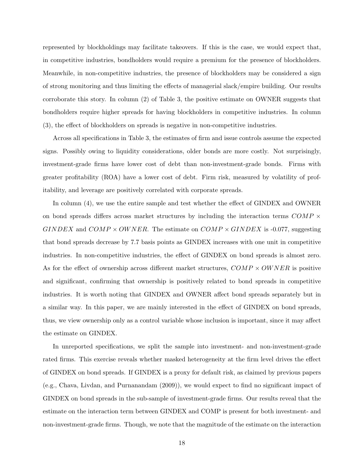represented by blockholdings may facilitate takeovers. If this is the case, we would expect that, in competitive industries, bondholders would require a premium for the presence of blockholders. Meanwhile, in non-competitive industries, the presence of blockholders may be considered a sign of strong monitoring and thus limiting the effects of managerial slack/empire building. Our results corroborate this story. In column (2) of Table 3, the positive estimate on OWNER suggests that bondholders require higher spreads for having blockholders in competitive industries. In column (3), the effect of blockholders on spreads is negative in non-competitive industries.

Across all specifications in Table 3, the estimates of firm and issue controls assume the expected signs. Possibly owing to liquidity considerations, older bonds are more costly. Not surprisingly, investment-grade firms have lower cost of debt than non-investment-grade bonds. Firms with greater profitability (ROA) have a lower cost of debt. Firm risk, measured by volatility of profitability, and leverage are positively correlated with corporate spreads.

In column (4), we use the entire sample and test whether the effect of GINDEX and OWNER on bond spreads differs across market structures by including the interaction terms *COMP × GINDEX* and *COMP*  $\times$  *OWNER*. The estimate on *COMP*  $\times$  *GINDEX* is -0.077, suggesting that bond spreads decrease by 7.7 basis points as GINDEX increases with one unit in competitive industries. In non-competitive industries, the effect of GINDEX on bond spreads is almost zero. As for the effect of ownership across different market structures, *COMP × OW NER* is positive and significant, confirming that ownership is positively related to bond spreads in competitive industries. It is worth noting that GINDEX and OWNER affect bond spreads separately but in a similar way. In this paper, we are mainly interested in the effect of GINDEX on bond spreads, thus, we view ownership only as a control variable whose inclusion is important, since it may affect the estimate on GINDEX.

In unreported specifications, we split the sample into investment- and non-investment-grade rated firms. This exercise reveals whether masked heterogeneity at the firm level drives the effect of GINDEX on bond spreads. If GINDEX is a proxy for default risk, as claimed by previous papers (e.g., Chava, Livdan, and Purnanandam (2009)), we would expect to find no significant impact of GINDEX on bond spreads in the sub-sample of investment-grade firms. Our results reveal that the estimate on the interaction term between GINDEX and COMP is present for both investment- and non-investment-grade firms. Though, we note that the magnitude of the estimate on the interaction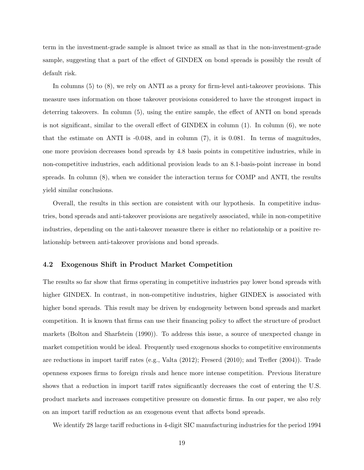term in the investment-grade sample is almost twice as small as that in the non-investment-grade sample, suggesting that a part of the effect of GINDEX on bond spreads is possibly the result of default risk.

In columns  $(5)$  to  $(8)$ , we rely on ANTI as a proxy for firm-level anti-takeover provisions. This measure uses information on those takeover provisions considered to have the strongest impact in deterring takeovers. In column (5), using the entire sample, the effect of ANTI on bond spreads is not significant, similar to the overall effect of  $GINDEX$  in column  $(1)$ . In column  $(6)$ , we note that the estimate on ANTI is  $-0.048$ , and in column (7), it is 0.081. In terms of magnitudes, one more provision decreases bond spreads by 4.8 basis points in competitive industries, while in non-competitive industries, each additional provision leads to an 8.1-basis-point increase in bond spreads. In column (8), when we consider the interaction terms for COMP and ANTI, the results yield similar conclusions.

Overall, the results in this section are consistent with our hypothesis. In competitive industries, bond spreads and anti-takeover provisions are negatively associated, while in non-competitive industries, depending on the anti-takeover measure there is either no relationship or a positive relationship between anti-takeover provisions and bond spreads.

#### **4.2 Exogenous Shift in Product Market Competition**

The results so far show that firms operating in competitive industries pay lower bond spreads with higher GINDEX. In contrast, in non-competitive industries, higher GINDEX is associated with higher bond spreads. This result may be driven by endogeneity between bond spreads and market competition. It is known that firms can use their financing policy to affect the structure of product markets (Bolton and Sharfstein (1990)). To address this issue, a source of unexpected change in market competition would be ideal. Frequently used exogenous shocks to competitive environments are reductions in import tariff rates (e.g., Valta (2012); Freserd (2010); and Trefler (2004)). Trade openness exposes firms to foreign rivals and hence more intense competition. Previous literature shows that a reduction in import tariff rates significantly decreases the cost of entering the U.S. product markets and increases competitive pressure on domestic firms. In our paper, we also rely on an import tariff reduction as an exogenous event that affects bond spreads.

We identify 28 large tariff reductions in 4-digit SIC manufacturing industries for the period 1994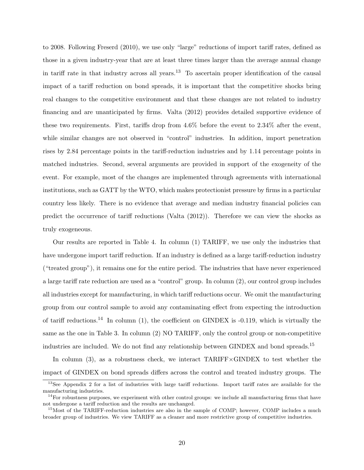to 2008. Following Freserd (2010), we use only "large" reductions of import tariff rates, defined as those in a given industry-year that are at least three times larger than the average annual change in tariff rate in that industry across all years.<sup>13</sup> To ascertain proper identification of the causal impact of a tariff reduction on bond spreads, it is important that the competitive shocks bring real changes to the competitive environment and that these changes are not related to industry financing and are unanticipated by firms. Valta (2012) provides detailed supportive evidence of these two requirements. First, tariffs drop from 4.6% before the event to 2.34% after the event, while similar changes are not observed in "control" industries. In addition, import penetration rises by 2.84 percentage points in the tariff-reduction industries and by 1.14 percentage points in matched industries. Second, several arguments are provided in support of the exogeneity of the event. For example, most of the changes are implemented through agreements with international institutions, such as GATT by the WTO, which makes protectionist pressure by firms in a particular country less likely. There is no evidence that average and median industry financial policies can predict the occurrence of tariff reductions (Valta (2012)). Therefore we can view the shocks as truly exogeneous.

Our results are reported in Table 4. In column (1) TARIFF, we use only the industries that have undergone import tariff reduction. If an industry is defined as a large tariff-reduction industry ("treated group"), it remains one for the entire period. The industries that have never experienced a large tariff rate reduction are used as a "control" group. In column (2), our control group includes all industries except for manufacturing, in which tariff reductions occur. We omit the manufacturing group from our control sample to avoid any contaminating effect from expecting the introduction of tariff reductions.<sup>14</sup> In column (1), the coefficient on GINDEX is  $-0.119$ , which is virtually the same as the one in Table 3. In column (2) NO TARIFF, only the control group or non-competitive industries are included. We do not find any relationship between GINDEX and bond spreads.<sup>15</sup>

In column (3), as a robustness check, we interact TARIFF*×*GINDEX to test whether the impact of GINDEX on bond spreads differs across the control and treated industry groups. The

 $13$ See Appendix 2 for a list of industries with large tariff reductions. Import tariff rates are available for the manufacturing industries.

 $14$ For robustness purposes, we experiment with other control groups: we include all manufacturing firms that have not undergone a tariff reduction and the results are unchanged.

<sup>&</sup>lt;sup>15</sup>Most of the TARIFF-reduction industries are also in the sample of COMP; however, COMP includes a much broader group of industries. We view TARIFF as a cleaner and more restrictive group of competitive industries.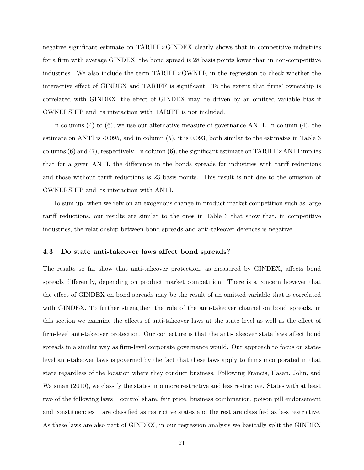negative significant estimate on TARIFF*×*GINDEX clearly shows that in competitive industries for a firm with average GINDEX, the bond spread is 28 basis points lower than in non-competitive industries. We also include the term TARIFF*×*OWNER in the regression to check whether the interactive effect of GINDEX and TARIFF is significant. To the extent that firms' ownership is correlated with GINDEX, the effect of GINDEX may be driven by an omitted variable bias if OWNERSHIP and its interaction with TARIFF is not included.

In columns (4) to (6), we use our alternative measure of governance ANTI. In column (4), the estimate on ANTI is -0.095, and in column (5), it is 0.093, both similar to the estimates in Table 3 columns (6) and (7), respectively. In column (6), the significant estimate on TARIFF*×*ANTI implies that for a given ANTI, the difference in the bonds spreads for industries with tariff reductions and those without tariff reductions is 23 basis points. This result is not due to the omission of OWNERSHIP and its interaction with ANTI.

To sum up, when we rely on an exogenous change in product market competition such as large tariff reductions, our results are similar to the ones in Table 3 that show that, in competitive industries, the relationship between bond spreads and anti-takeover defences is negative.

#### **4.3 Do state anti-takeover laws affect bond spreads?**

The results so far show that anti-takeover protection, as measured by GINDEX, affects bond spreads differently, depending on product market competition. There is a concern however that the effect of GINDEX on bond spreads may be the result of an omitted variable that is correlated with GINDEX. To further strengthen the role of the anti-takeover channel on bond spreads, in this section we examine the effects of anti-takeover laws at the state level as well as the effect of firm-level anti-takeover protection. Our conjecture is that the anti-takeover state laws affect bond spreads in a similar way as firm-level corporate governance would. Our approach to focus on statelevel anti-takeover laws is governed by the fact that these laws apply to firms incorporated in that state regardless of the location where they conduct business. Following Francis, Hasan, John, and Waisman (2010), we classify the states into more restrictive and less restrictive. States with at least two of the following laws – control share, fair price, business combination, poison pill endorsement and constituencies – are classified as restrictive states and the rest are classified as less restrictive. As these laws are also part of GINDEX, in our regression analysis we basically split the GINDEX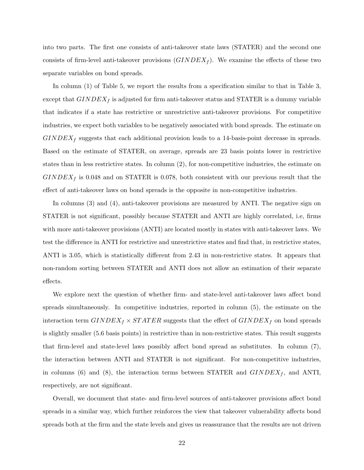into two parts. The first one consists of anti-takeover state laws (STATER) and the second one consists of firm-level anti-takeover provisions  $(GINDEX<sub>f</sub>)$ . We examine the effects of these two separate variables on bond spreads.

In column (1) of Table 5, we report the results from a specification similar to that in Table 3, except that  $GINDEX<sub>f</sub>$  is adjusted for firm anti-takeover status and STATER is a dummy variable that indicates if a state has restrictive or unrestrictive anti-takeover provisions. For competitive industries, we expect both variables to be negatively associated with bond spreads. The estimate on *GINDEX<sup>f</sup>* suggests that each additional provision leads to a 14-basis-point decrease in spreads. Based on the estimate of STATER, on average, spreads are 23 basis points lower in restrictive states than in less restrictive states. In column (2), for non-competitive industries, the estimate on  $GINDEX_f$  is 0.048 and on STATER is 0.078, both consistent with our previous result that the effect of anti-takeover laws on bond spreads is the opposite in non-competitive industries.

In columns (3) and (4), anti-takeover provisions are measured by ANTI. The negative sign on STATER is not significant, possibly because STATER and ANTI are highly correlated, i.e, firms with more anti-takeover provisions (ANTI) are located mostly in states with anti-takeover laws. We test the difference in ANTI for restrictive and unrestrictive states and find that, in restrictive states, ANTI is 3.05, which is statistically different from 2.43 in non-restrictive states. It appears that non-random sorting between STATER and ANTI does not allow an estimation of their separate effects.

We explore next the question of whether firm- and state-level anti-takeover laws affect bond spreads simultaneously. In competitive industries, reported in column (5), the estimate on the interaction term  $GINDEX_f \times STATER$  suggests that the effect of  $GINDEX_f$  on bond spreads is slightly smaller (5.6 basis points) in restrictive than in non-restrictive states. This result suggests that firm-level and state-level laws possibly affect bond spread as substitutes. In column (7), the interaction between ANTI and STATER is not significant. For non-competitive industries, in columns (6) and (8), the interaction terms between STATER and  $GINDEX_f$ , and ANTI, respectively, are not significant.

Overall, we document that state- and firm-level sources of anti-takeover provisions affect bond spreads in a similar way, which further reinforces the view that takeover vulnerability affects bond spreads both at the firm and the state levels and gives us reassurance that the results are not driven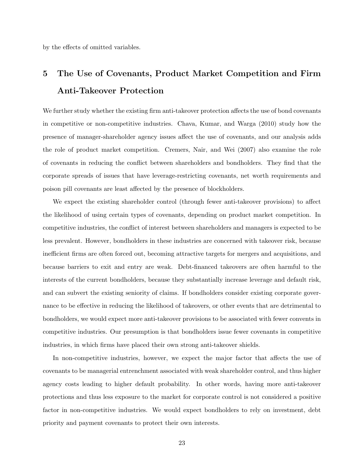by the effects of omitted variables.

# **5 The Use of Covenants, Product Market Competition and Firm Anti-Takeover Protection**

We further study whether the existing firm anti-takeover protection affects the use of bond covenants in competitive or non-competitive industries. Chava, Kumar, and Warga (2010) study how the presence of manager-shareholder agency issues affect the use of covenants, and our analysis adds the role of product market competition. Cremers, Nair, and Wei (2007) also examine the role of covenants in reducing the conflict between shareholders and bondholders. They find that the corporate spreads of issues that have leverage-restricting covenants, net worth requirements and poison pill covenants are least affected by the presence of blockholders.

We expect the existing shareholder control (through fewer anti-takeover provisions) to affect the likelihood of using certain types of covenants, depending on product market competition. In competitive industries, the conflict of interest between shareholders and managers is expected to be less prevalent. However, bondholders in these industries are concerned with takeover risk, because inefficient firms are often forced out, becoming attractive targets for mergers and acquisitions, and because barriers to exit and entry are weak. Debt-financed takeovers are often harmful to the interests of the current bondholders, because they substantially increase leverage and default risk, and can subvert the existing seniority of claims. If bondholders consider existing corporate governance to be effective in reducing the likelihood of takeovers, or other events that are detrimental to bondholders, we would expect more anti-takeover provisions to be associated with fewer convents in competitive industries. Our presumption is that bondholders issue fewer covenants in competitive industries, in which firms have placed their own strong anti-takeover shields.

In non-competitive industries, however, we expect the major factor that affects the use of covenants to be managerial entrenchment associated with weak shareholder control, and thus higher agency costs leading to higher default probability. In other words, having more anti-takeover protections and thus less exposure to the market for corporate control is not considered a positive factor in non-competitive industries. We would expect bondholders to rely on investment, debt priority and payment covenants to protect their own interests.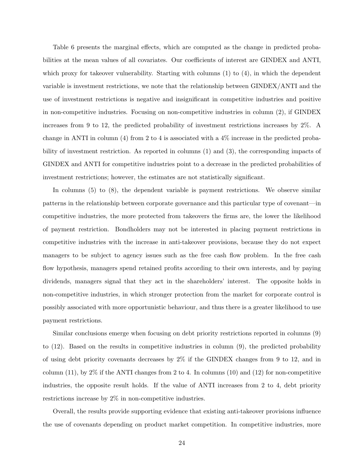Table 6 presents the marginal effects, which are computed as the change in predicted probabilities at the mean values of all covariates. Our coefficients of interest are GINDEX and ANTI, which proxy for takeover vulnerability. Starting with columns (1) to (4), in which the dependent variable is investment restrictions, we note that the relationship between GINDEX/ANTI and the use of investment restrictions is negative and insignificant in competitive industries and positive in non-competitive industries. Focusing on non-competitive industries in column (2), if GINDEX increases from 9 to 12, the predicted probability of investment restrictions increases by 2%. A change in ANTI in column  $(4)$  from 2 to 4 is associated with a 4% increase in the predicted probability of investment restriction. As reported in columns (1) and (3), the corresponding impacts of GINDEX and ANTI for competitive industries point to a decrease in the predicted probabilities of investment restrictions; however, the estimates are not statistically significant.

In columns (5) to (8), the dependent variable is payment restrictions. We observe similar patterns in the relationship between corporate governance and this particular type of covenant—in competitive industries, the more protected from takeovers the firms are, the lower the likelihood of payment restriction. Bondholders may not be interested in placing payment restrictions in competitive industries with the increase in anti-takeover provisions, because they do not expect managers to be subject to agency issues such as the free cash flow problem. In the free cash flow hypothesis, managers spend retained profits according to their own interests, and by paying dividends, managers signal that they act in the shareholders' interest. The opposite holds in non-competitive industries, in which stronger protection from the market for corporate control is possibly associated with more opportunistic behaviour, and thus there is a greater likelihood to use payment restrictions.

Similar conclusions emerge when focusing on debt priority restrictions reported in columns (9) to (12). Based on the results in competitive industries in column (9), the predicted probability of using debt priority covenants decreases by 2% if the GINDEX changes from 9 to 12, and in column  $(11)$ , by  $2\%$  if the ANTI changes from 2 to 4. In columns  $(10)$  and  $(12)$  for non-competitive industries, the opposite result holds. If the value of ANTI increases from 2 to 4, debt priority restrictions increase by 2% in non-competitive industries.

Overall, the results provide supporting evidence that existing anti-takeover provisions influence the use of covenants depending on product market competition. In competitive industries, more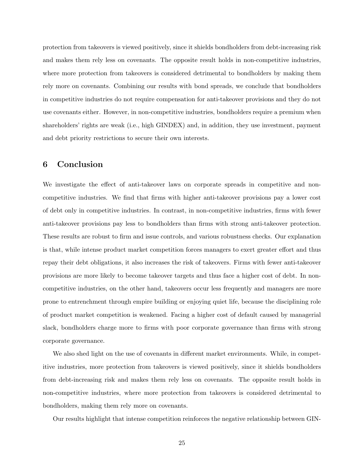protection from takeovers is viewed positively, since it shields bondholders from debt-increasing risk and makes them rely less on covenants. The opposite result holds in non-competitive industries, where more protection from takeovers is considered detrimental to bondholders by making them rely more on covenants. Combining our results with bond spreads, we conclude that bondholders in competitive industries do not require compensation for anti-takeover provisions and they do not use covenants either. However, in non-competitive industries, bondholders require a premium when shareholders' rights are weak (i.e., high GINDEX) and, in addition, they use investment, payment and debt priority restrictions to secure their own interests.

# **6 Conclusion**

We investigate the effect of anti-takeover laws on corporate spreads in competitive and noncompetitive industries. We find that firms with higher anti-takeover provisions pay a lower cost of debt only in competitive industries. In contrast, in non-competitive industries, firms with fewer anti-takeover provisions pay less to bondholders than firms with strong anti-takeover protection. These results are robust to firm and issue controls, and various robustness checks. Our explanation is that, while intense product market competition forces managers to exert greater effort and thus repay their debt obligations, it also increases the risk of takeovers. Firms with fewer anti-takeover provisions are more likely to become takeover targets and thus face a higher cost of debt. In noncompetitive industries, on the other hand, takeovers occur less frequently and managers are more prone to entrenchment through empire building or enjoying quiet life, because the disciplining role of product market competition is weakened. Facing a higher cost of default caused by managerial slack, bondholders charge more to firms with poor corporate governance than firms with strong corporate governance.

We also shed light on the use of covenants in different market environments. While, in competitive industries, more protection from takeovers is viewed positively, since it shields bondholders from debt-increasing risk and makes them rely less on covenants. The opposite result holds in non-competitive industries, where more protection from takeovers is considered detrimental to bondholders, making them rely more on covenants.

Our results highlight that intense competition reinforces the negative relationship between GIN-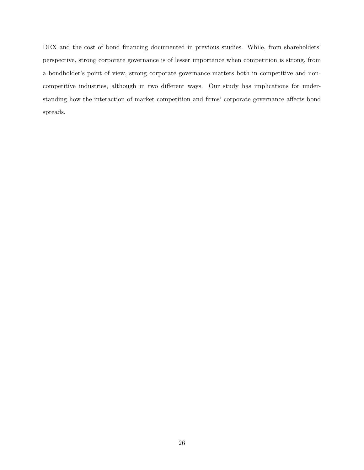DEX and the cost of bond financing documented in previous studies. While, from shareholders' perspective, strong corporate governance is of lesser importance when competition is strong, from a bondholder's point of view, strong corporate governance matters both in competitive and noncompetitive industries, although in two different ways. Our study has implications for understanding how the interaction of market competition and firms' corporate governance affects bond spreads.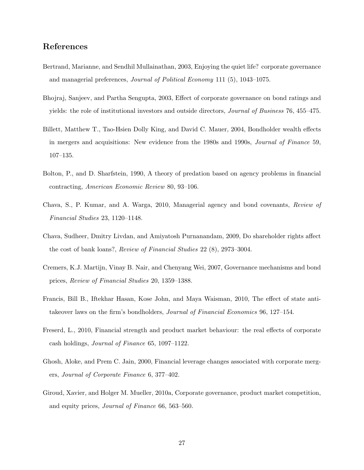# **References**

- Bertrand, Marianne, and Sendhil Mullainathan, 2003, Enjoying the quiet life? corporate governance and managerial preferences, *Journal of Political Economy* 111 (5), 1043–1075.
- Bhojraj, Sanjeev, and Partha Sengupta, 2003, Effect of corporate governance on bond ratings and yields: the role of institutional investors and outside directors, *Journal of Business* 76, 455–475.
- Billett, Matthew T., Tao-Hsien Dolly King, and David C. Mauer, 2004, Bondholder wealth effects in mergers and acquisitions: New evidence from the 1980s and 1990s, *Journal of Finance* 59, 107–135.
- Bolton, P., and D. Sharfstein, 1990, A theory of predation based on agency problems in financial contracting, *American Economic Review* 80, 93–106.
- Chava, S., P. Kumar, and A. Warga, 2010, Managerial agency and bond covenants, *Review of Financial Studies* 23, 1120–1148.
- Chava, Sudheer, Dmitry Livdan, and Amiyatosh Purnanandam, 2009, Do shareholder rights affect the cost of bank loans?, *Review of Financial Studies* 22 (8), 2973–3004.
- Cremers, K.J. Martijn, Vinay B. Nair, and Chenyang Wei, 2007, Governance mechanisms and bond prices, *Review of Financial Studies* 20, 1359–1388.
- Francis, Bill B., Iftekhar Hasan, Kose John, and Maya Waisman, 2010, The effect of state antitakeover laws on the firm's bondholders, *Journal of Financial Economics* 96, 127–154.
- Freserd, L., 2010, Financial strength and product market behaviour: the real effects of corporate cash holdings, *Journal of Finance* 65, 1097–1122.
- Ghosh, Aloke, and Prem C. Jain, 2000, Financial leverage changes associated with corporate mergers, *Journal of Corporate Finance* 6, 377–402.
- Giroud, Xavier, and Holger M. Mueller, 2010a, Corporate governance, product market competition, and equity prices, *Journal of Finance* 66, 563–560.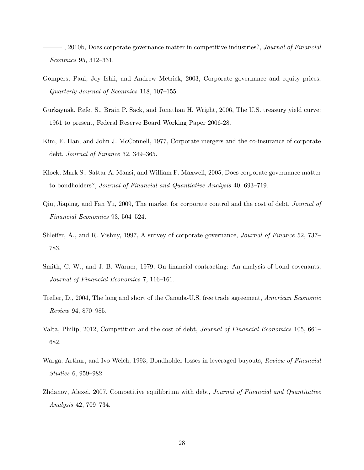, 2010b, Does corporate governance matter in competitive industries?, *Journal of Financial Econmics* 95, 312–331.

- Gompers, Paul, Joy Ishii, and Andrew Metrick, 2003, Corporate governance and equity prices, *Quarterly Journal of Econmics* 118, 107–155.
- Gurkaynak, Refet S., Brain P. Sack, and Jonathan H. Wright, 2006, The U.S. treasury yield curve: 1961 to present, Federal Reserve Board Working Paper 2006-28.
- Kim, E. Han, and John J. McConnell, 1977, Corporate mergers and the co-insurance of corporate debt, *Journal of Finance* 32, 349–365.
- Klock, Mark S., Sattar A. Mansi, and William F. Maxwell, 2005, Does corporate governance matter to bondholders?, *Journal of Financial and Quantiative Analysis* 40, 693–719.
- Qiu, Jiaping, and Fan Yu, 2009, The market for corporate control and the cost of debt, *Journal of Financial Economics* 93, 504–524.
- Shleifer, A., and R. Vishny, 1997, A survey of corporate governance, *Journal of Finance* 52, 737– 783.
- Smith, C. W., and J. B. Warner, 1979, On financial contracting: An analysis of bond covenants, *Journal of Financial Economics* 7, 116–161.
- Trefler, D., 2004, The long and short of the Canada-U.S. free trade agreement, *American Economic Review* 94, 870–985.
- Valta, Philip, 2012, Competition and the cost of debt, *Journal of Financial Economics* 105, 661– 682.
- Warga, Arthur, and Ivo Welch, 1993, Bondholder losses in leveraged buyouts, *Review of Financial Studies* 6, 959–982.
- Zhdanov, Alexei, 2007, Competitive equilibrium with debt, *Journal of Financial and Quantitative Analysis* 42, 709–734.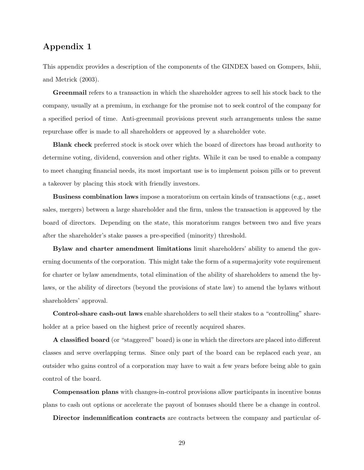# **Appendix 1**

This appendix provides a description of the components of the GINDEX based on Gompers, Ishii, and Metrick (2003).

**Greenmail** refers to a transaction in which the shareholder agrees to sell his stock back to the company, usually at a premium, in exchange for the promise not to seek control of the company for a specified period of time. Anti-greenmail provisions prevent such arrangements unless the same repurchase offer is made to all shareholders or approved by a shareholder vote.

**Blank check** preferred stock is stock over which the board of directors has broad authority to determine voting, dividend, conversion and other rights. While it can be used to enable a company to meet changing financial needs, its most important use is to implement poison pills or to prevent a takeover by placing this stock with friendly investors.

**Business combination laws** impose a moratorium on certain kinds of transactions (e.g., asset sales, mergers) between a large shareholder and the firm, unless the transaction is approved by the board of directors. Depending on the state, this moratorium ranges between two and five years after the shareholder's stake passes a pre-specified (minority) threshold.

**Bylaw and charter amendment limitations** limit shareholders' ability to amend the governing documents of the corporation. This might take the form of a supermajority vote requirement for charter or bylaw amendments, total elimination of the ability of shareholders to amend the bylaws, or the ability of directors (beyond the provisions of state law) to amend the bylaws without shareholders' approval.

**Control-share cash-out laws** enable shareholders to sell their stakes to a "controlling" shareholder at a price based on the highest price of recently acquired shares.

**A classified board** (or "staggered" board) is one in which the directors are placed into different classes and serve overlapping terms. Since only part of the board can be replaced each year, an outsider who gains control of a corporation may have to wait a few years before being able to gain control of the board.

**Compensation plans** with changes-in-control provisions allow participants in incentive bonus plans to cash out options or accelerate the payout of bonuses should there be a change in control.

**Director indemnification contracts** are contracts between the company and particular of-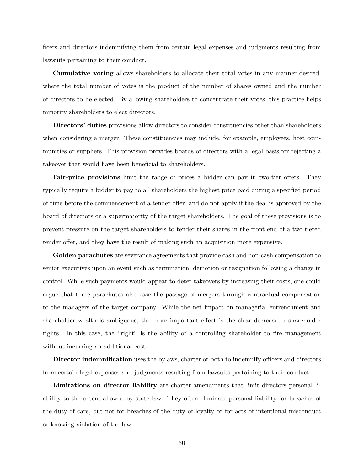ficers and directors indemnifying them from certain legal expenses and judgments resulting from lawsuits pertaining to their conduct.

**Cumulative voting** allows shareholders to allocate their total votes in any manner desired, where the total number of votes is the product of the number of shares owned and the number of directors to be elected. By allowing shareholders to concentrate their votes, this practice helps minority shareholders to elect directors.

**Directors' duties** provisions allow directors to consider constituencies other than shareholders when considering a merger. These constituencies may include, for example, employees, host communities or suppliers. This provision provides boards of directors with a legal basis for rejecting a takeover that would have been beneficial to shareholders.

**Fair-price provisions** limit the range of prices a bidder can pay in two-tier offers. They typically require a bidder to pay to all shareholders the highest price paid during a specified period of time before the commencement of a tender offer, and do not apply if the deal is approved by the board of directors or a supermajority of the target shareholders. The goal of these provisions is to prevent pressure on the target shareholders to tender their shares in the front end of a two-tiered tender offer, and they have the result of making such an acquisition more expensive.

**Golden parachutes** are severance agreements that provide cash and non-cash compensation to senior executives upon an event such as termination, demotion or resignation following a change in control. While such payments would appear to deter takeovers by increasing their costs, one could argue that these parachutes also ease the passage of mergers through contractual compensation to the managers of the target company. While the net impact on managerial entrenchment and shareholder wealth is ambiguous, the more important effect is the clear decrease in shareholder rights. In this case, the "right" is the ability of a controlling shareholder to fire management without incurring an additional cost.

**Director indemnification** uses the bylaws, charter or both to indemnify officers and directors from certain legal expenses and judgments resulting from lawsuits pertaining to their conduct.

**Limitations on director liability** are charter amendments that limit directors personal liability to the extent allowed by state law. They often eliminate personal liability for breaches of the duty of care, but not for breaches of the duty of loyalty or for acts of intentional misconduct or knowing violation of the law.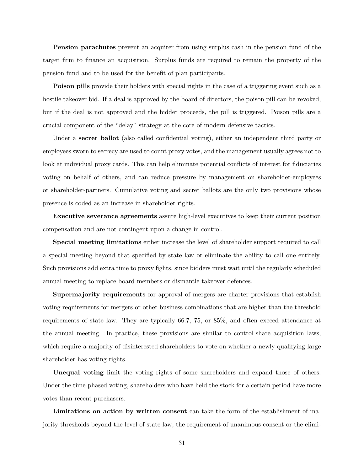**Pension parachutes** prevent an acquirer from using surplus cash in the pension fund of the target firm to finance an acquisition. Surplus funds are required to remain the property of the pension fund and to be used for the benefit of plan participants.

**Poison pills** provide their holders with special rights in the case of a triggering event such as a hostile takeover bid. If a deal is approved by the board of directors, the poison pill can be revoked, but if the deal is not approved and the bidder proceeds, the pill is triggered. Poison pills are a crucial component of the "delay" strategy at the core of modern defensive tactics.

Under a **secret ballot** (also called confidential voting), either an independent third party or employees sworn to secrecy are used to count proxy votes, and the management usually agrees not to look at individual proxy cards. This can help eliminate potential conflicts of interest for fiduciaries voting on behalf of others, and can reduce pressure by management on shareholder-employees or shareholder-partners. Cumulative voting and secret ballots are the only two provisions whose presence is coded as an increase in shareholder rights.

**Executive severance agreements** assure high-level executives to keep their current position compensation and are not contingent upon a change in control.

**Special meeting limitations** either increase the level of shareholder support required to call a special meeting beyond that specified by state law or eliminate the ability to call one entirely. Such provisions add extra time to proxy fights, since bidders must wait until the regularly scheduled annual meeting to replace board members or dismantle takeover defences.

**Supermajority requirements** for approval of mergers are charter provisions that establish voting requirements for mergers or other business combinations that are higher than the threshold requirements of state law. They are typically 66.7, 75, or 85%, and often exceed attendance at the annual meeting. In practice, these provisions are similar to control-share acquisition laws, which require a majority of disinterested shareholders to vote on whether a newly qualifying large shareholder has voting rights.

**Unequal voting** limit the voting rights of some shareholders and expand those of others. Under the time-phased voting, shareholders who have held the stock for a certain period have more votes than recent purchasers.

**Limitations on action by written consent** can take the form of the establishment of majority thresholds beyond the level of state law, the requirement of unanimous consent or the elimi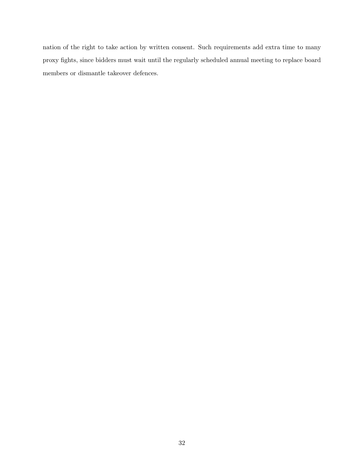nation of the right to take action by written consent. Such requirements add extra time to many proxy fights, since bidders must wait until the regularly scheduled annual meeting to replace board members or dismantle takeover defences.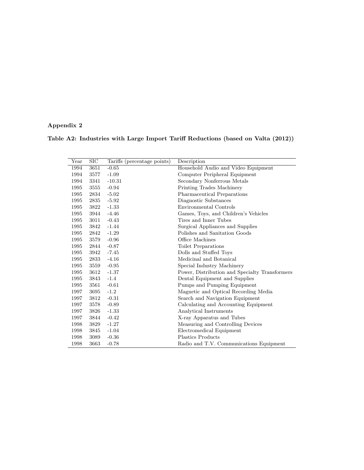# **Appendix 2**

**Table A2: Industries with Large Import Tariff Reductions (based on Valta (2012))**

| Year | $_{\rm SIC}$ | Tariffs (percentage points) | Description                                    |
|------|--------------|-----------------------------|------------------------------------------------|
| 1994 | 3651         | $-0.65$                     | Household Audio and Video Equipment            |
| 1994 | 3577         | $-1.09$                     | Computer Peripheral Equipment                  |
| 1994 | 3341         | $-10.31$                    | Secondary Nonferrous Metals                    |
| 1995 | 3555         | $-0.94$                     | Printing Trades Machinery                      |
| 1995 | 2834         | $-5.02$                     | <b>Pharmaceutical Preparations</b>             |
| 1995 | 2835         | $-5.92$                     | Diagnostic Substances                          |
| 1995 | 3822         | $-1.33$                     | Environmental Controls                         |
| 1995 | 3944         | $-4.46$                     | Games, Toys, and Children's Vehicles           |
| 1995 | 3011         | $-0.43$                     | Tires and Inner Tubes                          |
| 1995 | 3842         | $-1.44$                     | Surgical Appliances and Supplies               |
| 1995 | 2842         | $-1.29$                     | Polishes and Sanitation Goods                  |
| 1995 | 3579         | $-0.96$                     | Office Machines                                |
| 1995 | 2844         | $-0.87$                     | Toilet Preparations                            |
| 1995 | 3942         | $-7.45$                     | Dolls and Stuffed Toys                         |
| 1995 | 2833         | $-4.16$                     | Medicinal and Botanical                        |
| 1995 | 3559         | $-0.95$                     | Special Industry Machinery                     |
| 1995 | 3612         | $-1.37$                     | Power, Distribution and Specialty Transformers |
| 1995 | 3843         | $-1.4$                      | Dental Equipment and Supplies                  |
| 1995 | 3561         | $-0.61$                     | Pumps and Pumping Equipment                    |
| 1997 | 3695         | $-1.2$                      | Magnetic and Optical Recording Media           |
| 1997 | 3812         | $-0.31$                     | Search and Navigation Equipment                |
| 1997 | 3578         | $-0.89$                     | Calculating and Accounting Equipment           |
| 1997 | 3826         | $-1.33$                     | Analytical Instruments                         |
| 1997 | 3844         | $-0.42$                     | X-ray Apparatus and Tubes                      |
| 1998 | 3829         | $-1.27$                     | Measuring and Controlling Devices              |
| 1998 | 3845         | $-1.04$                     | Electromedical Equipment                       |
| 1998 | 3089         | $-0.36$                     | Plastics Products                              |
| 1998 | 3663         | $-0.78$                     | Radio and T.V. Communications Equipment        |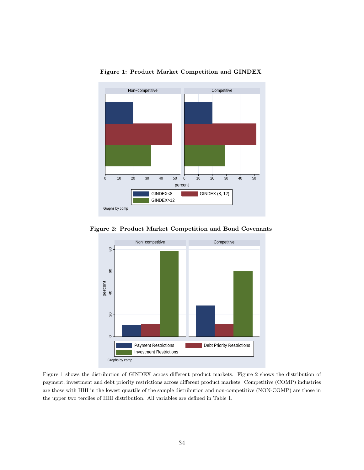

**Figure 1: Product Market Competition and GINDEX**

**Figure 2: Product Market Competition and Bond Covenants**



Figure 1 shows the distribution of GINDEX across different product markets. Figure 2 shows the distribution of payment, investment and debt priority restrictions across different product markets. Competitive (COMP) industries are those with HHI in the lowest quartile of the sample distribution and non-competitive (NON-COMP) are those in the upper two terciles of HHI distribution. All variables are defined in Table 1.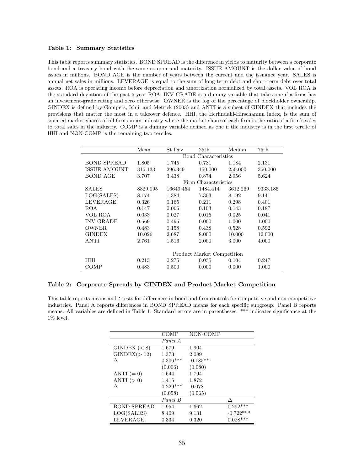#### **Table 1: Summary Statistics**

This table reports summary statistics. BOND SPREAD is the difference in yields to maturity between a corporate bond and a treasury bond with the same coupon and maturity. ISSUE AMOUNT is the dollar value of bond issues in millions. BOND AGE is the number of years between the current and the issuance year. SALES is annual net sales in millions. LEVERAGE is equal to the sum of long-term debt and short-term debt over total assets. ROA is operating income before depreciation and amortization normalized by total assets. VOL ROA is the standard deviation of the past 5-year ROA. INV GRADE is a dummy variable that takes one if a firms has an investment-grade rating and zero otherwise. OWNER is the log of the percentage of blockholder ownership. GINDEX is defined by Gompers, Ishii, and Metrick (2003) and ANTI is a subset of GINDEX that includes the provisions that matter the most in a takeover defence. HHI, the Herfindahl-Hirschamnn index, is the sum of squared market shares of all firms in an industry where the market share of each firm is the ratio of a firm's sales to total sales in the industry. COMP is a dummy variable defined as one if the industry is in the first tercile of HHI and NON-COMP is the remaining two terciles.

|                     | Mean     | St Dev    | 25th                              | Median   | 75th     |
|---------------------|----------|-----------|-----------------------------------|----------|----------|
|                     |          |           | <b>Bond Characteristics</b>       |          |          |
| BOND SPREAD         | 1.805    | 1.745     | 0.731                             | 1.184    | 2.131    |
| <b>ISSUE AMOUNT</b> | 315.133  | 296.349   | 150.000                           | 250.000  | 350.000  |
| <b>BOND AGE</b>     | 3.707    | 3.438     | 0.874                             | 2.956    | 5.624    |
|                     |          |           | Firm Characteristics              |          |          |
| <b>SALES</b>        | 8829.095 | 16649.454 | 1484.414                          | 3612.269 | 9333.185 |
| LOG(SALES)          | 8.174    | 1.384     | 7.303                             | 8.192    | 9.141    |
| LEVERAGE            | 0.326    | 0.165     | 0.211                             | 0.298    | 0.401    |
| ROA                 | 0.147    | 0.066     | 0.103                             | 0.143    | 0.187    |
| VOL ROA             | 0.033    | 0.027     | 0.015                             | 0.025    | 0.041    |
| <b>INV GRADE</b>    | 0.569    | 0.495     | 0.000                             | 1.000    | 1.000    |
| <b>OWNER</b>        | 0.483    | 0.158     | 0.438                             | 0.528    | 0.592    |
| <b>GINDEX</b>       | 10.026   | 2.687     | 8.000                             | 10.000   | 12.000   |
| <b>ANTI</b>         | 2.761    | 1.516     | 2.000                             | 3.000    | 4.000    |
|                     |          |           |                                   |          |          |
|                     |          |           | <b>Product Market Competition</b> |          |          |
| HHI                 | 0.213    | 0.275     | 0.035                             | 0.104    | 0.247    |
| COMP                | 0.483    | 0.500     | 0.000                             | 0.000    | 1.000    |

#### **Table 2: Corporate Spreads by GINDEX and Product Market Competition**

This table reports means and *t*-tests for differences in bond and firm controls for competitive and non-competitive industries. Panel A reports differences in BOND SPREAD means for each specific subgroup. Panel B reports means. All variables are defined in Table 1. Standard errors are in parentheses. \*\*\* indicates significance at the 1% level.

|                | COMP       | NON-COMP   |             |
|----------------|------------|------------|-------------|
|                | Panel A    |            |             |
| GINDEX $(< 8)$ | 1.679      | 1.904      |             |
| GINDER(>12)    | 1.373      | 2.089      |             |
|                | $0.306***$ | $-0.185**$ |             |
|                | (0.006)    | (0.080)    |             |
| ANTI $(= 0)$   | 1.644      | 1.794      |             |
| ANTI $(>0)$    | 1.415      | 1.872      |             |
| Л              | $0.229***$ | $-0.078$   |             |
|                | (0.058)    | (0.065)    |             |
|                | Panel B    |            | Л           |
| BOND SPREAD    | 1.954      | 1.662      | $0.292***$  |
| LOG(SALES)     | 8.409      | 9.131      | $-0.722***$ |
| LEVERAGE       | 0.334      | 0.320      | $0.028***$  |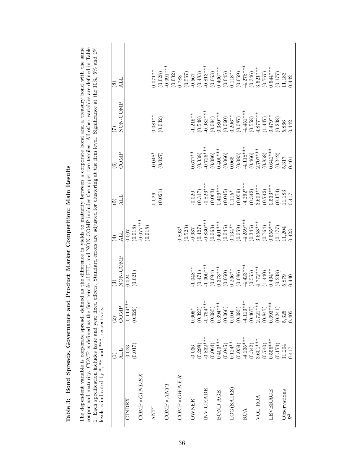| <b>GINDEX</b>        | $\widehat{\Xi}$      | $\widehat{2}$          | ි                    | $\widehat{E}$           | <u>වි</u>           | $\widehat{6}$    | C)                   | $\overset{\circ}{(8)}$ |
|----------------------|----------------------|------------------------|----------------------|-------------------------|---------------------|------------------|----------------------|------------------------|
|                      | ALL                  | COMP                   | NON-COMP             | TTR                     | ALL                 | COMP             | NON-COMP             | ALL                    |
|                      | $-0.023$             | $-0.1\overline{14}$ ** | 0.024                | 0.007                   |                     |                  |                      |                        |
|                      | (0.017)              | (0.029)                | (0.021)              | (0.018)                 |                     |                  |                      |                        |
| <b>COMP×GINDEX</b>   |                      |                        |                      | $-0.077$ ***<br>(0.018) |                     |                  |                      |                        |
| <b>ANTI</b>          |                      |                        |                      |                         | 0.026               | $-0.048*$        | $0.081***$           | $0.071**$              |
|                      |                      |                        |                      |                         | (0.021)             | (0.027)          | (0.032)              | (0.028)                |
| <b>COMP×ANTI</b>     |                      |                        |                      |                         |                     |                  |                      | $0.091***$             |
| $CONF \times OWNPER$ |                      |                        |                      | $0.893*$                |                     |                  |                      | (0.032)<br>0.788       |
|                      |                      |                        |                      | (0.523)                 |                     |                  |                      | (0.557)                |
| <b>OWNER</b>         | $-0.036$             | $0.605*$               | $1.048**$            | $-0.637$                | $-0.020$            | $0.677**$        | $-1.215**$           | $-0.567$               |
|                      | (0.298)              | (0.323)                | (0.471)              | (0.427)                 | (0.317)             | (0.338)          | (0.548)              | (0.483)                |
| INV GRADE            | $-0.832***$          | $-0.754***$            | $1.000***$           | $0.830***$              | $-0.826***$         | $0.725***$       | $-0.982***$          | $0.813***$             |
|                      | (0.064)              | (0.085)                | (0.094)              | (0.063)                 | (0.063)             | (0.086)          | (0.094)              | (0.063)                |
| BOND AGE             | $0.403***$           | $0.394***$             | $0.373***$           | $0.401***$              | $0.406***$          | $0.400***$       | $0.380***$           | $0.406***$             |
|                      | (0.045)              | (0.066)                | (0.060)              | (0.045)                 | (0.045)             | (0.066)          | (0.060)              | (0.045)                |
| LOG(SALES)           | $0.124**$<br>(0.059) | (0.085)<br>0.104       | $0.206**$<br>(0.086) | $0.134***$<br>(0.059)   | (0.059)<br>$0.115*$ | (0.085)<br>0.065 | $0.206**$<br>(0.087) | $0.118**$<br>(0.059)   |
| ROA                  | $-4.235***$          | $-4.113***$            | $4.423***$           | $-4.259***$             | $-4.262***$         | $-4.118***$      | $4.451***$           | $4.278***$             |
|                      | (0.342)              | (0.467)                | (0.555)              | (0.345)                 | (0.342)             | (0.466)          | (0.558)              | $(0.346)$<br>3.621***  |
| VOL ROA              | $3.601***$           | $2.721***$             | $4.772***$           | $3.658***$              | $3.609***$          | $2.707***$       | $-877***$            |                        |
|                      | (0.740)              | (0.847)                | (1.440)              | (0.764)                 | (0.742)             | (0.858)          | (1.447)              | (0.767)                |
| LEVERAGE             | $0.556***$           | $0.693***$             | $0.494***$           | $0.555***$              | $0.533***$          | $0.642***$       | $0.479***$           | $0.544***$             |
|                      | (0.174)              | (0.241)                | (0.238)              | (0.177)                 | (0.174)             | (0.242)          | (0.238)              | (0.177)                |
| Observations         | 11,204               | 5,325                  | 5,879                | 11,204                  | 11,183              | 5,317            | 5,866                | 11,183                 |
| $\ensuremath{R^2}$   | 0.417                | 0.405                  | 0.440                | 0.423                   | 0.417               | 0.401            | 0.442                | 0.442                  |

# Table 3: Bond Spreads, Governance and Product Market Competition: Main Results Table 3: Bond Spreads, Governance and Product Market Competition: Main Results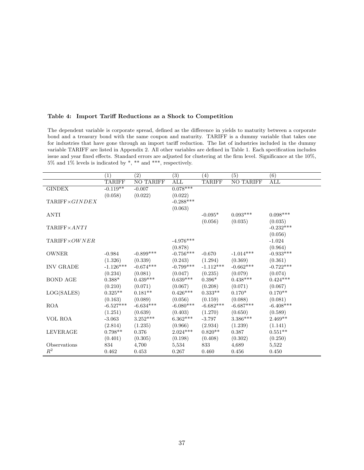#### **Table 4: Import Tariff Reductions as a Shock to Competition**

The dependent variable is corporate spread, defined as the difference in yields to maturity between a corporate bond and a treasury bond with the same coupon and maturity. TARIFF is a dummy variable that takes one for industries that have gone through an import tariff reduction. The list of industries included in the dummy variable TARIFF are listed in Appendix 2. All other variables are defined in Table 1. Each specification includes issue and year fixed effects. Standard errors are adjusted for clustering at the firm level. Significance at the 10%,  $5\%$  and  $1\%$  levels is indicated by \*, \*\* and \*\*\*, respectively.

|                        | (1)           | $\left( 2\right)$ | $\overline{(3)}$ | $\left(4\right)$ | $\left( 5\right)$ | (6)         |
|------------------------|---------------|-------------------|------------------|------------------|-------------------|-------------|
|                        | <b>TARIFF</b> | <b>NO TARIFF</b>  | ALL              | <b>TARIFF</b>    | <b>NO TARIFF</b>  | ALL         |
| <b>GINDEX</b>          | $-0.119**$    | $-0.007$          | $0.078***$       |                  |                   |             |
|                        | (0.058)       | (0.022)           | (0.022)          |                  |                   |             |
| $TARIFF \times GINDEX$ |               |                   | $-0.288***$      |                  |                   |             |
|                        |               |                   | (0.063)          |                  |                   |             |
| <b>ANTI</b>            |               |                   |                  | $-0.095*$        | $0.093***$        | $0.098***$  |
|                        |               |                   |                  | (0.056)          | (0.035)           | (0.035)     |
| TARIFF×ANTI            |               |                   |                  |                  |                   | $-0.232***$ |
|                        |               |                   |                  |                  |                   | (0.056)     |
| TARIFF×OWNER           |               |                   | $-4.976***$      |                  |                   | $-1.024$    |
|                        |               |                   | (0.878)          |                  |                   | (0.964)     |
| <b>OWNER</b>           | $-0.984$      | $-0.899***$       | $-0.756***$      | $-0.670$         | $-1.014***$       | $-0.933***$ |
|                        | (1.326)       | (0.339)           | (0.243)          | (1.294)          | (0.369)           | (0.361)     |
| <b>INV GRADE</b>       | $-1.126***$   | $-0.674***$       | $-0.799***$      | $-1.112***$      | $-0.662***$       | $-0.722***$ |
|                        | (0.234)       | (0.081)           | (0.047)          | (0.235)          | (0.079)           | (0.074)     |
| BOND AGE               | $0.388*$      | $0.439***$        | $0.639***$       | $0.396*$         | $0.438***$        | $0.424***$  |
|                        | (0.210)       | (0.071)           | (0.067)          | (0.208)          | (0.071)           | (0.067)     |
| LOG(SALES)             | $0.325**$     | $0.181**$         | $0.426***$       | $0.333**$        | $0.170*$          | $0.170**$   |
|                        | (0.163)       | (0.089)           | (0.056)          | (0.159)          | (0.088)           | (0.081)     |
| <b>ROA</b>             | $-6.527***$   | $-6.634***$       | $-6.080***$      | $-6.682***$      | $-6.687***$       | $-6.408***$ |
|                        | (1.251)       | (0.639)           | (0.403)          | (1.270)          | (0.650)           | (0.589)     |
| <b>VOL ROA</b>         | $-3.063$      | $3.252***$        | $6.362***$       | $-3.797$         | $3.386***$        | $2.469**$   |
|                        | (2.814)       | (1.235)           | (0.966)          | (2.934)          | (1.239)           | (1.141)     |
| <b>LEVERAGE</b>        | $0.798**$     | 0.376             | $2.024***$       | $0.820**$        | 0.387             | $0.551**$   |
|                        | (0.401)       | (0.305)           | (0.198)          | (0.408)          | (0.302)           | (0.250)     |
| Observations           | 834           | 4,700             | 5,534            | 833              | 4,689             | 5,522       |
| $R^2$                  | 0.462         | 0.453             | 0.267            | 0.460            | 0.456             | 0.450       |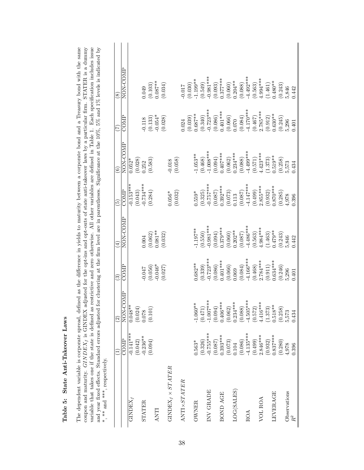| The dependent variable is corporate spread, defined as the difference in yields to maturity between a corporate bond and a Treasury bond with the same<br>coupon and maturity. $GINDEX_f$ is GINDEX adjusted for the opt-ins and opt-outs of state anti-takeover laws by a particular firm. STATER is a dummy<br>variable that takes one if the state is defined as<br>and year fixed effects. Standard errors adjusted<br>*, ** and ***, respectively. |                        |                        |                        |                        |                        |                        |                       | restrictive and zero otherwise. All other variables are defined in Table 1. Each specification includes issue<br>for clustering at the firm level are in parentheses. Significance at the $10\%$ , 5% and $1\%$ levels is indicated by |
|---------------------------------------------------------------------------------------------------------------------------------------------------------------------------------------------------------------------------------------------------------------------------------------------------------------------------------------------------------------------------------------------------------------------------------------------------------|------------------------|------------------------|------------------------|------------------------|------------------------|------------------------|-----------------------|----------------------------------------------------------------------------------------------------------------------------------------------------------------------------------------------------------------------------------------|
|                                                                                                                                                                                                                                                                                                                                                                                                                                                         |                        | $\widehat{2}$          | ව                      | $\bigoplus$            | ව                      | $\widehat{\mathbf{e}}$ | E                     | $\circledast$                                                                                                                                                                                                                          |
|                                                                                                                                                                                                                                                                                                                                                                                                                                                         | COMP                   | <b>ANOD-NON</b>        | COMP                   | NON-COMP               | COMP                   | NON-COMP               | COMP                  | NON-COMP                                                                                                                                                                                                                               |
| $GINDEX_f$                                                                                                                                                                                                                                                                                                                                                                                                                                              | $-0.141***$<br>(0.042) | $0.048**$<br>(0.024)   |                        |                        | $-0.153***$<br>(0.043) | (0.028)<br>$0.052*$    |                       |                                                                                                                                                                                                                                        |
| <b>STATER</b>                                                                                                                                                                                                                                                                                                                                                                                                                                           | $-0.236**$             | 0.078                  | $-0.047$               | 0.004                  | $-0.734***$            | 0.252                  | $-0.118$              | 0.049                                                                                                                                                                                                                                  |
|                                                                                                                                                                                                                                                                                                                                                                                                                                                         | (10.094)               | (0.101)                | (0.056)                | (0.062)                | (0.284)                | (0.583)                | (0.133)               | (0.103)                                                                                                                                                                                                                                |
| <b>ANTI</b>                                                                                                                                                                                                                                                                                                                                                                                                                                             |                        |                        | $-0.046*$<br>(0.027)   | $0.081**$<br>(0.032)   |                        |                        | $-0.054*$<br>(0.028)  | $0.087**$<br>(0.034)                                                                                                                                                                                                                   |
| $\text{GINDEX}_f \times STATER$                                                                                                                                                                                                                                                                                                                                                                                                                         |                        |                        |                        |                        | (0.032)<br>$0.056*$    | (0.058)<br>$-0.018$    |                       |                                                                                                                                                                                                                                        |
| <b>ANTI×STATER</b>                                                                                                                                                                                                                                                                                                                                                                                                                                      |                        |                        |                        |                        |                        |                        | 0.24                  | $-0.017$                                                                                                                                                                                                                               |
|                                                                                                                                                                                                                                                                                                                                                                                                                                                         |                        |                        |                        |                        |                        |                        | (0.039)               | (0.030)                                                                                                                                                                                                                                |
| <b>OWNER</b>                                                                                                                                                                                                                                                                                                                                                                                                                                            | $0.563*$               | ⋇<br>$-1.060*$         | $0.682**$              | $-1.197**$             | $0.559*$               | $1.053**$              | $0.687***$            | $1.199**$                                                                                                                                                                                                                              |
|                                                                                                                                                                                                                                                                                                                                                                                                                                                         | (0.326)                | (0.471)                | (0.339)                | (0.550)                | (0.325)                | (0.468)                | (0.340)               | (0.549)                                                                                                                                                                                                                                |
| INV GRADE                                                                                                                                                                                                                                                                                                                                                                                                                                               | $-0.755***$            | $-1.007***$            | $0.723***$             | $-0.981***$            | $-0.757***$            | $-1.008***$            | $0.723***$            | $0.981***$                                                                                                                                                                                                                             |
| <b>BOND AGE</b>                                                                                                                                                                                                                                                                                                                                                                                                                                         | $0.393***$<br>(0.087)  | $0.406***$<br>(0.094)  | $0.401***$<br>(0.086)  | $0.379***$<br>(0.094)  | $0.392***$<br>(0.087)  | $0.407***$<br>(0.094)  | $0.401***$<br>(0.086) | $0.377***$<br>(0.093)                                                                                                                                                                                                                  |
|                                                                                                                                                                                                                                                                                                                                                                                                                                                         | (0.073)                | (0.062)                | (0.066)                | (0.060)                | (0.073)                | (0.062)                | (0.066)               | (0.060)                                                                                                                                                                                                                                |
| LOG(SALES)                                                                                                                                                                                                                                                                                                                                                                                                                                              | 0.104                  | $0.234***$             | 0.069                  | $0.202**$              | 0.113                  | $0.234***$             | 0.070                 | $0.204***$                                                                                                                                                                                                                             |
|                                                                                                                                                                                                                                                                                                                                                                                                                                                         | (0.086)                | (0.088)                | (0.084)                | (0.087)                | $-4.147***$<br>(0.087) | (0.088)                | (0.084)               | (0.088)                                                                                                                                                                                                                                |
| ROA                                                                                                                                                                                                                                                                                                                                                                                                                                                     | $-4.135***$<br>(0.499) | $-4.505***$<br>(0.572) | $-4.166***$<br>(0.468) | $-4.486***$<br>(0.563) | (0.499)                | $-4.499***$<br>(0.571) | $4.170***$<br>(0.467) | $-4.492***$<br>(0.563)                                                                                                                                                                                                                 |
| VOL ROA                                                                                                                                                                                                                                                                                                                                                                                                                                                 | $2.846***$             | $4.416***$             | $2.784***$             | $4.984***$             | $2.855***$             | $4.423***$             | $2.785***$            | $4.994***$                                                                                                                                                                                                                             |
|                                                                                                                                                                                                                                                                                                                                                                                                                                                         | (0.932)                | (1.373)                | (0.911)                | (1.463)                | (0.932)                | (1.373)                | (0.912)               | (1.461)                                                                                                                                                                                                                                |
| LEVERAGE                                                                                                                                                                                                                                                                                                                                                                                                                                                | $0.837***$             | $0.518**$              | $0.634***$             | $0.479**$              | $0.870***$             | $0.519**$              | $0.630**$             | $0.480**$                                                                                                                                                                                                                              |
|                                                                                                                                                                                                                                                                                                                                                                                                                                                         | (0.280)                | (0.258)                | (0.246)                | (0.243)                | (0.285)                | (0.258)                | (0.245)               | (0.243)                                                                                                                                                                                                                                |
| Observations                                                                                                                                                                                                                                                                                                                                                                                                                                            | 4,978                  | 5,573                  | 5,296                  | 5,846                  | 4,978                  | 5,573                  | 5,296                 | 5,846                                                                                                                                                                                                                                  |
| $\ensuremath{R^{2}}\xspace$                                                                                                                                                                                                                                                                                                                                                                                                                             | 0.396                  | 0.434                  | 0.401                  | 0.442                  | 0.396                  | 0.434                  | 0.401                 | 0.442                                                                                                                                                                                                                                  |

Table 5: State Anti-Takeover Laws **Table 5: State Anti-Takeover Laws**